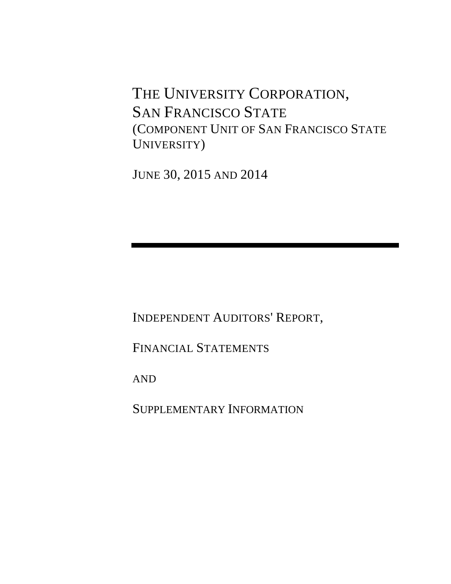THE UNIVERSITY CORPORATION, SAN FRANCISCO STATE (COMPONENT UNIT OF SAN FRANCISCO STATE UNIVERSITY)

JUNE 30, 2015 AND 2014

INDEPENDENT AUDITORS' REPORT,

FINANCIAL STATEMENTS

AND

SUPPLEMENTARY INFORMATION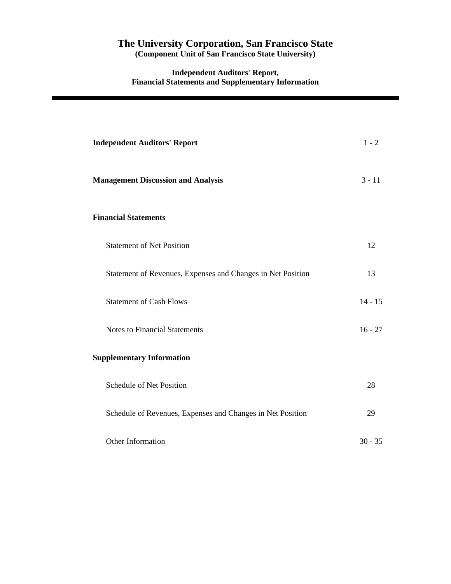# **The University Corporation, San Francisco State**

**(Component Unit of San Francisco State University)** 

## **Independent Auditors' Report, Financial Statements and Supplementary Information**

| <b>Independent Auditors' Report</b>                         | $1 - 2$   |
|-------------------------------------------------------------|-----------|
| <b>Management Discussion and Analysis</b>                   | $3 - 11$  |
| <b>Financial Statements</b>                                 |           |
| <b>Statement of Net Position</b>                            | 12        |
| Statement of Revenues, Expenses and Changes in Net Position | 13        |
| <b>Statement of Cash Flows</b>                              | $14 - 15$ |
| <b>Notes to Financial Statements</b>                        | $16 - 27$ |
| <b>Supplementary Information</b>                            |           |
| <b>Schedule of Net Position</b>                             | 28        |
| Schedule of Revenues, Expenses and Changes in Net Position  | 29        |
| Other Information                                           | $30 - 35$ |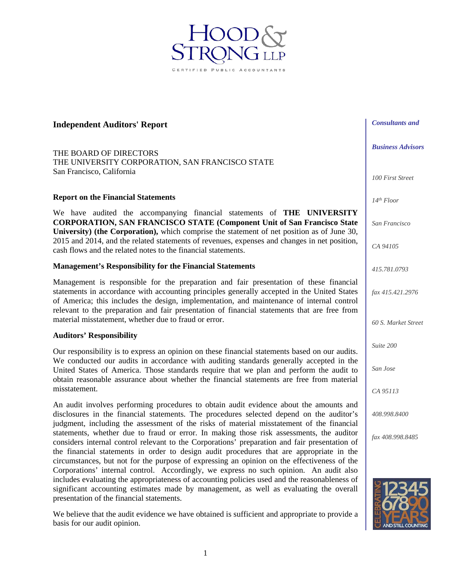## **Independent Auditors' Report**

THE BOARD OF DIRECTORS THE UNIVERSITY CORPORATION, SAN FRANCISCO STATE San Francisco, California

#### **Report on the Financial Statements**

We have audited the accompanying financial statements of **THE UNIVERSITY CORPORATION, SAN FRANCISCO STATE (Component Unit of San Francisco State University) (the Corporation),** which comprise the statement of net position as of June 30, 2015 and 2014, and the related statements of revenues, expenses and changes in net position, cash flows and the related notes to the financial statements.

#### **Management's Responsibility for the Financial Statements**

Management is responsible for the preparation and fair presentation of these financial statements in accordance with accounting principles generally accepted in the United States of America; this includes the design, implementation, and maintenance of internal control relevant to the preparation and fair presentation of financial statements that are free from material misstatement, whether due to fraud or error.

#### **Auditors' Responsibility**

Our responsibility is to express an opinion on these financial statements based on our audits. We conducted our audits in accordance with auditing standards generally accepted in the United States of America. Those standards require that we plan and perform the audit to obtain reasonable assurance about whether the financial statements are free from material misstatement.

An audit involves performing procedures to obtain audit evidence about the amounts and disclosures in the financial statements. The procedures selected depend on the auditor's judgment, including the assessment of the risks of material misstatement of the financial statements, whether due to fraud or error. In making those risk assessments, the auditor considers internal control relevant to the Corporations' preparation and fair presentation of the financial statements in order to design audit procedures that are appropriate in the circumstances, but not for the purpose of expressing an opinion on the effectiveness of the Corporations' internal control. Accordingly, we express no such opinion. An audit also includes evaluating the appropriateness of accounting policies used and the reasonableness of significant accounting estimates made by management, as well as evaluating the overall presentation of the financial statements.

We believe that the audit evidence we have obtained is sufficient and appropriate to provide a basis for our audit opinion.

*100 First Street 14th Floor San Francisco CA 94105* 

*415.781.0793* 

*fax 415.421.2976* 

*60 S. Market Street* 

*Suite 200* 

*San Jose* 

*CA 95113* 

*408.998.8400* 

*fax 408.998.8485* 







## *Consultants and*

*Business Advisors*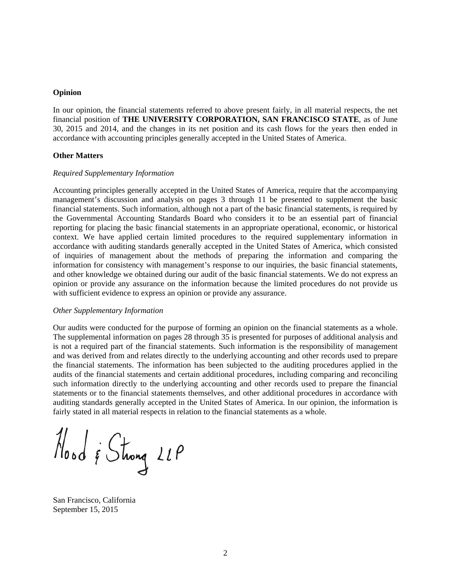#### **Opinion**

In our opinion, the financial statements referred to above present fairly, in all material respects, the net financial position of **THE UNIVERSITY CORPORATION, SAN FRANCISCO STATE**, as of June 30, 2015 and 2014, and the changes in its net position and its cash flows for the years then ended in accordance with accounting principles generally accepted in the United States of America.

#### **Other Matters**

#### *Required Supplementary Information*

Accounting principles generally accepted in the United States of America, require that the accompanying management's discussion and analysis on pages 3 through 11 be presented to supplement the basic financial statements. Such information, although not a part of the basic financial statements, is required by the Governmental Accounting Standards Board who considers it to be an essential part of financial reporting for placing the basic financial statements in an appropriate operational, economic, or historical context. We have applied certain limited procedures to the required supplementary information in accordance with auditing standards generally accepted in the United States of America, which consisted of inquiries of management about the methods of preparing the information and comparing the information for consistency with management's response to our inquiries, the basic financial statements, and other knowledge we obtained during our audit of the basic financial statements. We do not express an opinion or provide any assurance on the information because the limited procedures do not provide us with sufficient evidence to express an opinion or provide any assurance.

#### *Other Supplementary Information*

Our audits were conducted for the purpose of forming an opinion on the financial statements as a whole. The supplemental information on pages 28 through 35 is presented for purposes of additional analysis and is not a required part of the financial statements. Such information is the responsibility of management and was derived from and relates directly to the underlying accounting and other records used to prepare the financial statements. The information has been subjected to the auditing procedures applied in the audits of the financial statements and certain additional procedures, including comparing and reconciling such information directly to the underlying accounting and other records used to prepare the financial statements or to the financial statements themselves, and other additional procedures in accordance with auditing standards generally accepted in the United States of America. In our opinion, the information is fairly stated in all material respects in relation to the financial statements as a whole.

Nood & Strong 22P

San Francisco, California September 15, 2015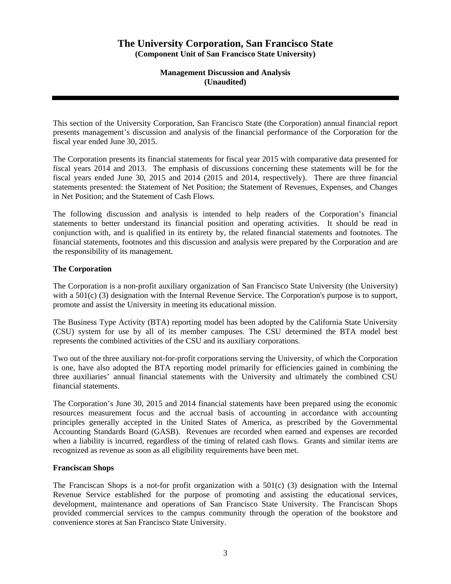### **Management Discussion and Analysis (Unaudited)**

This section of the University Corporation, San Francisco State (the Corporation) annual financial report presents management's discussion and analysis of the financial performance of the Corporation for the fiscal year ended June 30, 2015.

The Corporation presents its financial statements for fiscal year 2015 with comparative data presented for fiscal years 2014 and 2013. The emphasis of discussions concerning these statements will be for the fiscal years ended June 30, 2015 and 2014 (2015 and 2014, respectively). There are three financial statements presented: the Statement of Net Position; the Statement of Revenues, Expenses, and Changes in Net Position; and the Statement of Cash Flows.

The following discussion and analysis is intended to help readers of the Corporation's financial statements to better understand its financial position and operating activities. It should be read in conjunction with, and is qualified in its entirety by, the related financial statements and footnotes. The financial statements, footnotes and this discussion and analysis were prepared by the Corporation and are the responsibility of its management.

### **The Corporation**

The Corporation is a non-profit auxiliary organization of San Francisco State University (the University) with a 501(c) (3) designation with the Internal Revenue Service. The Corporation's purpose is to support, promote and assist the University in meeting its educational mission.

The Business Type Activity (BTA) reporting model has been adopted by the California State University (CSU) system for use by all of its member campuses. The CSU determined the BTA model best represents the combined activities of the CSU and its auxiliary corporations.

Two out of the three auxiliary not-for-profit corporations serving the University, of which the Corporation is one, have also adopted the BTA reporting model primarily for efficiencies gained in combining the three auxiliaries' annual financial statements with the University and ultimately the combined CSU financial statements.

The Corporation's June 30, 2015 and 2014 financial statements have been prepared using the economic resources measurement focus and the accrual basis of accounting in accordance with accounting principles generally accepted in the United States of America, as prescribed by the Governmental Accounting Standards Board (GASB). Revenues are recorded when earned and expenses are recorded when a liability is incurred, regardless of the timing of related cash flows. Grants and similar items are recognized as revenue as soon as all eligibility requirements have been met.

#### **Franciscan Shops**

The Franciscan Shops is a not-for profit organization with a  $501(c)$  (3) designation with the Internal Revenue Service established for the purpose of promoting and assisting the educational services, development, maintenance and operations of San Francisco State University. The Franciscan Shops provided commercial services to the campus community through the operation of the bookstore and convenience stores at San Francisco State University.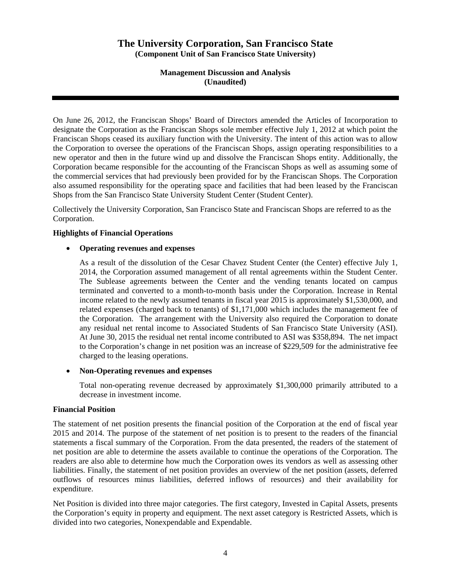**Management Discussion and Analysis (Unaudited)** 

On June 26, 2012, the Franciscan Shops' Board of Directors amended the Articles of Incorporation to designate the Corporation as the Franciscan Shops sole member effective July 1, 2012 at which point the Franciscan Shops ceased its auxiliary function with the University. The intent of this action was to allow the Corporation to oversee the operations of the Franciscan Shops, assign operating responsibilities to a new operator and then in the future wind up and dissolve the Franciscan Shops entity. Additionally, the Corporation became responsible for the accounting of the Franciscan Shops as well as assuming some of the commercial services that had previously been provided for by the Franciscan Shops. The Corporation also assumed responsibility for the operating space and facilities that had been leased by the Franciscan Shops from the San Francisco State University Student Center (Student Center).

Collectively the University Corporation, San Francisco State and Franciscan Shops are referred to as the Corporation.

### **Highlights of Financial Operations**

#### **Operating revenues and expenses**

As a result of the dissolution of the Cesar Chavez Student Center (the Center) effective July 1, 2014, the Corporation assumed management of all rental agreements within the Student Center. The Sublease agreements between the Center and the vending tenants located on campus terminated and converted to a month-to-month basis under the Corporation. Increase in Rental income related to the newly assumed tenants in fiscal year 2015 is approximately \$1,530,000, and related expenses (charged back to tenants) of \$1,171,000 which includes the management fee of the Corporation. The arrangement with the University also required the Corporation to donate any residual net rental income to Associated Students of San Francisco State University (ASI). At June 30, 2015 the residual net rental income contributed to ASI was \$358,894. The net impact to the Corporation's change in net position was an increase of \$229,509 for the administrative fee charged to the leasing operations.

### **Non-Operating revenues and expenses**

Total non-operating revenue decreased by approximately \$1,300,000 primarily attributed to a decrease in investment income.

#### **Financial Position**

The statement of net position presents the financial position of the Corporation at the end of fiscal year 2015 and 2014. The purpose of the statement of net position is to present to the readers of the financial statements a fiscal summary of the Corporation. From the data presented, the readers of the statement of net position are able to determine the assets available to continue the operations of the Corporation. The readers are also able to determine how much the Corporation owes its vendors as well as assessing other liabilities. Finally, the statement of net position provides an overview of the net position (assets, deferred outflows of resources minus liabilities, deferred inflows of resources) and their availability for expenditure.

Net Position is divided into three major categories. The first category, Invested in Capital Assets, presents the Corporation's equity in property and equipment. The next asset category is Restricted Assets, which is divided into two categories, Nonexpendable and Expendable.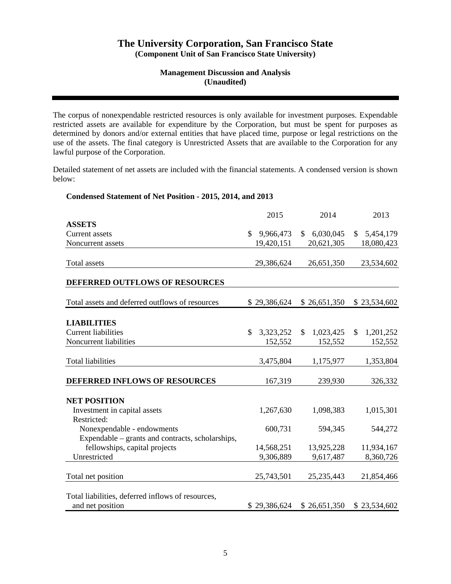### **Management Discussion and Analysis (Unaudited)**

The corpus of nonexpendable restricted resources is only available for investment purposes. Expendable restricted assets are available for expenditure by the Corporation, but must be spent for purposes as determined by donors and/or external entities that have placed time, purpose or legal restrictions on the use of the assets. The final category is Unrestricted Assets that are available to the Corporation for any lawful purpose of the Corporation.

Detailed statement of net assets are included with the financial statements. A condensed version is shown below:

#### **Condensed Statement of Net Position - 2015, 2014, and 2013**

|                                                   | 2015                       | 2014                      | 2013                      |
|---------------------------------------------------|----------------------------|---------------------------|---------------------------|
| <b>ASSETS</b>                                     |                            |                           |                           |
| Current assets                                    | $\mathcal{S}$<br>9,966,473 | 6,030,045<br>$\mathbb{S}$ | 5,454,179<br>$\mathbb{S}$ |
| Noncurrent assets                                 | 19,420,151                 | 20,621,305                | 18,080,423                |
| Total assets                                      | 29,386,624                 | 26,651,350                | 23,534,602                |
| DEFERRED OUTFLOWS OF RESOURCES                    |                            |                           |                           |
| Total assets and deferred outflows of resources   | \$29,386,624               | \$26,651,350              | \$23,534,602              |
| <b>LIABILITIES</b>                                |                            |                           |                           |
| <b>Current liabilities</b>                        | \$<br>3,323,252            | \$<br>1,023,425           | 1,201,252<br>\$.          |
| Noncurrent liabilities                            | 152,552                    | 152,552                   | 152,552                   |
| <b>Total liabilities</b>                          | 3,475,804                  | 1,175,977                 | 1,353,804                 |
| DEFERRED INFLOWS OF RESOURCES                     | 167,319                    | 239,930                   | 326,332                   |
| <b>NET POSITION</b>                               |                            |                           |                           |
| Investment in capital assets<br>Restricted:       | 1,267,630                  | 1,098,383                 | 1,015,301                 |
| Nonexpendable - endowments                        | 600,731                    | 594,345                   | 544,272                   |
| Expendable – grants and contracts, scholarships,  |                            |                           |                           |
| fellowships, capital projects                     | 14,568,251                 | 13,925,228                | 11,934,167                |
| Unrestricted                                      | 9,306,889                  | 9,617,487                 | 8,360,726                 |
| Total net position                                | 25,743,501                 | 25, 235, 443              | 21,854,466                |
| Total liabilities, deferred inflows of resources, |                            |                           |                           |
| and net position                                  | \$29,386,624               | \$26,651,350              | \$23,534,602              |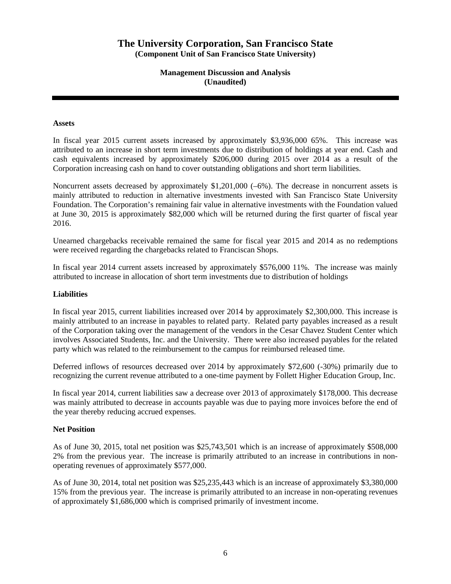## **Management Discussion and Analysis (Unaudited)**

#### **Assets**

In fiscal year 2015 current assets increased by approximately \$3,936,000 65%. This increase was attributed to an increase in short term investments due to distribution of holdings at year end. Cash and cash equivalents increased by approximately \$206,000 during 2015 over 2014 as a result of the Corporation increasing cash on hand to cover outstanding obligations and short term liabilities.

Noncurrent assets decreased by approximately \$1,201,000 (-6%). The decrease in noncurrent assets is mainly attributed to reduction in alternative investments invested with San Francisco State University Foundation. The Corporation's remaining fair value in alternative investments with the Foundation valued at June 30, 2015 is approximately \$82,000 which will be returned during the first quarter of fiscal year 2016.

Unearned chargebacks receivable remained the same for fiscal year 2015 and 2014 as no redemptions were received regarding the chargebacks related to Franciscan Shops.

In fiscal year 2014 current assets increased by approximately \$576,000 11%. The increase was mainly attributed to increase in allocation of short term investments due to distribution of holdings

#### **Liabilities**

In fiscal year 2015, current liabilities increased over 2014 by approximately \$2,300,000. This increase is mainly attributed to an increase in payables to related party. Related party payables increased as a result of the Corporation taking over the management of the vendors in the Cesar Chavez Student Center which involves Associated Students, Inc. and the University. There were also increased payables for the related party which was related to the reimbursement to the campus for reimbursed released time.

Deferred inflows of resources decreased over 2014 by approximately \$72,600 (-30%) primarily due to recognizing the current revenue attributed to a one-time payment by Follett Higher Education Group, Inc.

In fiscal year 2014, current liabilities saw a decrease over 2013 of approximately \$178,000. This decrease was mainly attributed to decrease in accounts payable was due to paying more invoices before the end of the year thereby reducing accrued expenses.

#### **Net Position**

As of June 30, 2015, total net position was \$25,743,501 which is an increase of approximately \$508,000 2% from the previous year. The increase is primarily attributed to an increase in contributions in nonoperating revenues of approximately \$577,000.

As of June 30, 2014, total net position was \$25,235,443 which is an increase of approximately \$3,380,000 15% from the previous year. The increase is primarily attributed to an increase in non-operating revenues of approximately \$1,686,000 which is comprised primarily of investment income.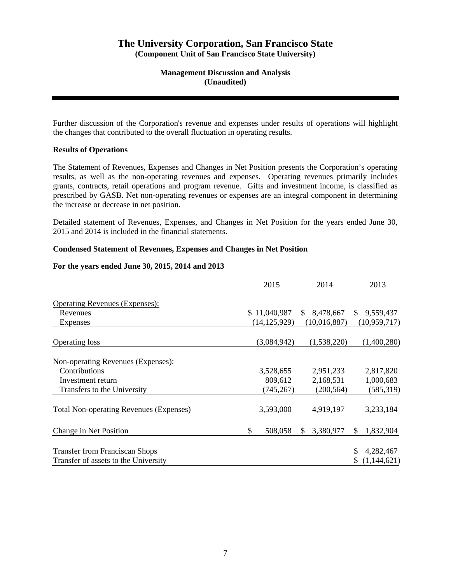### **Management Discussion and Analysis (Unaudited)**

Further discussion of the Corporation's revenue and expenses under results of operations will highlight the changes that contributed to the overall fluctuation in operating results.

#### **Results of Operations**

The Statement of Revenues, Expenses and Changes in Net Position presents the Corporation's operating results, as well as the non-operating revenues and expenses. Operating revenues primarily includes grants, contracts, retail operations and program revenue. Gifts and investment income, is classified as prescribed by GASB. Net non-operating revenues or expenses are an integral component in determining the increase or decrease in net position.

Detailed statement of Revenues, Expenses, and Changes in Net Position for the years ended June 30, 2015 and 2014 is included in the financial statements.

#### **Condensed Statement of Revenues, Expenses and Changes in Net Position**

#### **For the years ended June 30, 2015, 2014 and 2013**

|                                                | 2015           | 2014             | 2013                       |
|------------------------------------------------|----------------|------------------|----------------------------|
| <b>Operating Revenues (Expenses):</b>          |                |                  |                            |
| Revenues                                       | \$11,040,987   | 8,478,667<br>S.  | 9,559,437<br><sup>\$</sup> |
| Expenses                                       | (14, 125, 929) | (10,016,887)     | (10, 959, 717)             |
| <b>Operating loss</b>                          | (3,084,942)    | (1,538,220)      | (1,400,280)                |
| Non-operating Revenues (Expenses):             |                |                  |                            |
| Contributions                                  | 3,528,655      | 2,951,233        | 2,817,820                  |
| Investment return                              | 809,612        | 2,168,531        | 1,000,683                  |
| Transfers to the University                    | (745, 267)     | (200, 564)       | (585, 319)                 |
| <b>Total Non-operating Revenues (Expenses)</b> | 3,593,000      | 4,919,197        | 3,233,184                  |
| Change in Net Position                         | \$<br>508,058  | 3,380,977<br>\$. | 1,832,904<br>\$.           |
| <b>Transfer from Franciscan Shops</b>          |                |                  | 4,282,467                  |
| Transfer of assets to the University           |                |                  | (1,144,621)                |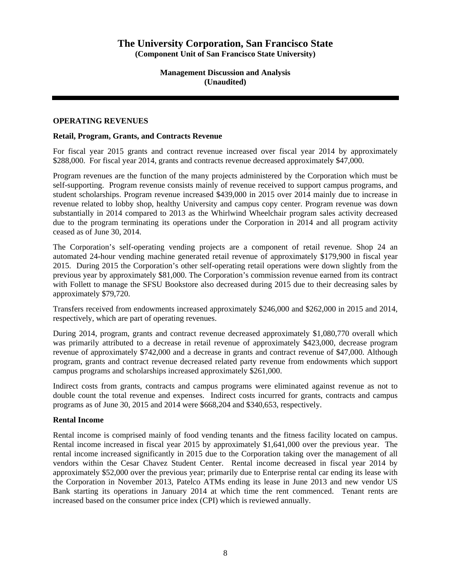### **Management Discussion and Analysis (Unaudited)**

#### **OPERATING REVENUES**

#### **Retail, Program, Grants, and Contracts Revenue**

For fiscal year 2015 grants and contract revenue increased over fiscal year 2014 by approximately \$288,000. For fiscal year 2014, grants and contracts revenue decreased approximately \$47,000.

Program revenues are the function of the many projects administered by the Corporation which must be self-supporting. Program revenue consists mainly of revenue received to support campus programs, and student scholarships. Program revenue increased \$439,000 in 2015 over 2014 mainly due to increase in revenue related to lobby shop, healthy University and campus copy center. Program revenue was down substantially in 2014 compared to 2013 as the Whirlwind Wheelchair program sales activity decreased due to the program terminating its operations under the Corporation in 2014 and all program activity ceased as of June 30, 2014.

The Corporation's self-operating vending projects are a component of retail revenue. Shop 24 an automated 24-hour vending machine generated retail revenue of approximately \$179,900 in fiscal year 2015. During 2015 the Corporation's other self-operating retail operations were down slightly from the previous year by approximately \$81,000. The Corporation's commission revenue earned from its contract with Follett to manage the SFSU Bookstore also decreased during 2015 due to their decreasing sales by approximately \$79,720.

Transfers received from endowments increased approximately \$246,000 and \$262,000 in 2015 and 2014, respectively, which are part of operating revenues.

During 2014, program, grants and contract revenue decreased approximately \$1,080,770 overall which was primarily attributed to a decrease in retail revenue of approximately \$423,000, decrease program revenue of approximately \$742,000 and a decrease in grants and contract revenue of \$47,000. Although program, grants and contract revenue decreased related party revenue from endowments which support campus programs and scholarships increased approximately \$261,000.

Indirect costs from grants, contracts and campus programs were eliminated against revenue as not to double count the total revenue and expenses. Indirect costs incurred for grants, contracts and campus programs as of June 30, 2015 and 2014 were \$668,204 and \$340,653, respectively.

#### **Rental Income**

Rental income is comprised mainly of food vending tenants and the fitness facility located on campus. Rental income increased in fiscal year 2015 by approximately \$1,641,000 over the previous year. The rental income increased significantly in 2015 due to the Corporation taking over the management of all vendors within the Cesar Chavez Student Center. Rental income decreased in fiscal year 2014 by approximately \$52,000 over the previous year; primarily due to Enterprise rental car ending its lease with the Corporation in November 2013, Patelco ATMs ending its lease in June 2013 and new vendor US Bank starting its operations in January 2014 at which time the rent commenced. Tenant rents are increased based on the consumer price index (CPI) which is reviewed annually.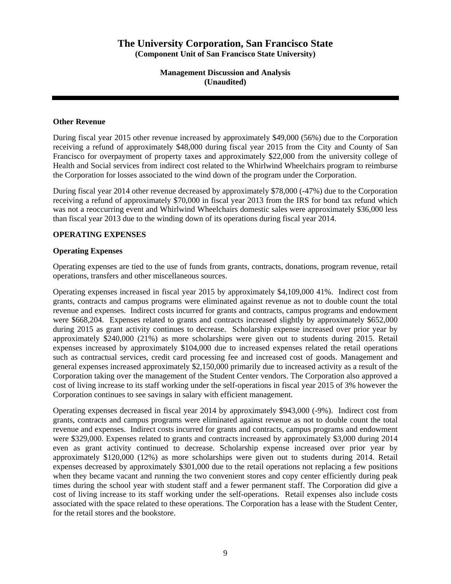### **Management Discussion and Analysis (Unaudited)**

### **Other Revenue**

During fiscal year 2015 other revenue increased by approximately \$49,000 (56%) due to the Corporation receiving a refund of approximately \$48,000 during fiscal year 2015 from the City and County of San Francisco for overpayment of property taxes and approximately \$22,000 from the university college of Health and Social services from indirect cost related to the Whirlwind Wheelchairs program to reimburse the Corporation for losses associated to the wind down of the program under the Corporation.

During fiscal year 2014 other revenue decreased by approximately \$78,000 (-47%) due to the Corporation receiving a refund of approximately \$70,000 in fiscal year 2013 from the IRS for bond tax refund which was not a reoccurring event and Whirlwind Wheelchairs domestic sales were approximately \$36,000 less than fiscal year 2013 due to the winding down of its operations during fiscal year 2014.

#### **OPERATING EXPENSES**

#### **Operating Expenses**

Operating expenses are tied to the use of funds from grants, contracts, donations, program revenue, retail operations, transfers and other miscellaneous sources.

Operating expenses increased in fiscal year 2015 by approximately \$4,109,000 41%. Indirect cost from grants, contracts and campus programs were eliminated against revenue as not to double count the total revenue and expenses. Indirect costs incurred for grants and contracts, campus programs and endowment were \$668,204. Expenses related to grants and contracts increased slightly by approximately \$652,000 during 2015 as grant activity continues to decrease. Scholarship expense increased over prior year by approximately \$240,000 (21%) as more scholarships were given out to students during 2015. Retail expenses increased by approximately \$104,000 due to increased expenses related the retail operations such as contractual services, credit card processing fee and increased cost of goods. Management and general expenses increased approximately \$2,150,000 primarily due to increased activity as a result of the Corporation taking over the management of the Student Center vendors. The Corporation also approved a cost of living increase to its staff working under the self-operations in fiscal year 2015 of 3% however the Corporation continues to see savings in salary with efficient management.

Operating expenses decreased in fiscal year 2014 by approximately \$943,000 (-9%). Indirect cost from grants, contracts and campus programs were eliminated against revenue as not to double count the total revenue and expenses. Indirect costs incurred for grants and contracts, campus programs and endowment were \$329,000. Expenses related to grants and contracts increased by approximately \$3,000 during 2014 even as grant activity continued to decrease. Scholarship expense increased over prior year by approximately \$120,000 (12%) as more scholarships were given out to students during 2014. Retail expenses decreased by approximately \$301,000 due to the retail operations not replacing a few positions when they became vacant and running the two convenient stores and copy center efficiently during peak times during the school year with student staff and a fewer permanent staff. The Corporation did give a cost of living increase to its staff working under the self-operations. Retail expenses also include costs associated with the space related to these operations. The Corporation has a lease with the Student Center, for the retail stores and the bookstore.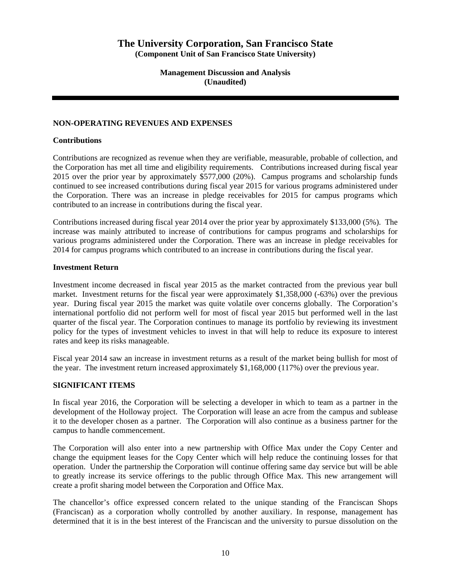**Management Discussion and Analysis (Unaudited)** 

### **NON-OPERATING REVENUES AND EXPENSES**

### **Contributions**

Contributions are recognized as revenue when they are verifiable, measurable, probable of collection, and the Corporation has met all time and eligibility requirements. Contributions increased during fiscal year 2015 over the prior year by approximately \$577,000 (20%). Campus programs and scholarship funds continued to see increased contributions during fiscal year 2015 for various programs administered under the Corporation. There was an increase in pledge receivables for 2015 for campus programs which contributed to an increase in contributions during the fiscal year.

Contributions increased during fiscal year 2014 over the prior year by approximately \$133,000 (5%). The increase was mainly attributed to increase of contributions for campus programs and scholarships for various programs administered under the Corporation. There was an increase in pledge receivables for 2014 for campus programs which contributed to an increase in contributions during the fiscal year.

### **Investment Return**

Investment income decreased in fiscal year 2015 as the market contracted from the previous year bull market. Investment returns for the fiscal year were approximately \$1,358,000 (-63%) over the previous year. During fiscal year 2015 the market was quite volatile over concerns globally. The Corporation's international portfolio did not perform well for most of fiscal year 2015 but performed well in the last quarter of the fiscal year. The Corporation continues to manage its portfolio by reviewing its investment policy for the types of investment vehicles to invest in that will help to reduce its exposure to interest rates and keep its risks manageable.

Fiscal year 2014 saw an increase in investment returns as a result of the market being bullish for most of the year. The investment return increased approximately \$1,168,000 (117%) over the previous year.

### **SIGNIFICANT ITEMS**

In fiscal year 2016, the Corporation will be selecting a developer in which to team as a partner in the development of the Holloway project. The Corporation will lease an acre from the campus and sublease it to the developer chosen as a partner. The Corporation will also continue as a business partner for the campus to handle commencement.

The Corporation will also enter into a new partnership with Office Max under the Copy Center and change the equipment leases for the Copy Center which will help reduce the continuing losses for that operation. Under the partnership the Corporation will continue offering same day service but will be able to greatly increase its service offerings to the public through Office Max. This new arrangement will create a profit sharing model between the Corporation and Office Max.

The chancellor's office expressed concern related to the unique standing of the Franciscan Shops (Franciscan) as a corporation wholly controlled by another auxiliary. In response, management has determined that it is in the best interest of the Franciscan and the university to pursue dissolution on the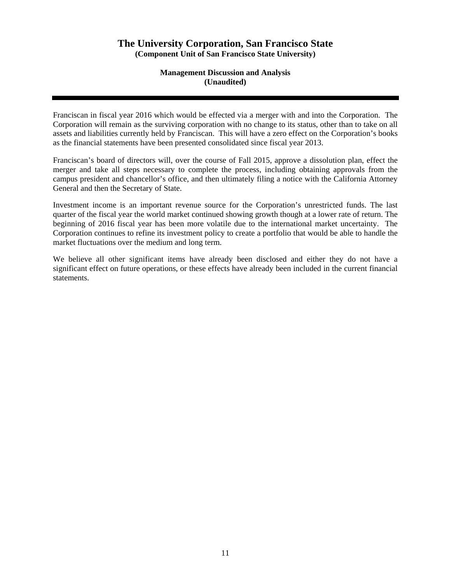## **Management Discussion and Analysis (Unaudited)**

Franciscan in fiscal year 2016 which would be effected via a merger with and into the Corporation. The Corporation will remain as the surviving corporation with no change to its status, other than to take on all assets and liabilities currently held by Franciscan. This will have a zero effect on the Corporation's books as the financial statements have been presented consolidated since fiscal year 2013.

Franciscan's board of directors will, over the course of Fall 2015, approve a dissolution plan, effect the merger and take all steps necessary to complete the process, including obtaining approvals from the campus president and chancellor's office, and then ultimately filing a notice with the California Attorney General and then the Secretary of State.

Investment income is an important revenue source for the Corporation's unrestricted funds. The last quarter of the fiscal year the world market continued showing growth though at a lower rate of return. The beginning of 2016 fiscal year has been more volatile due to the international market uncertainty. The Corporation continues to refine its investment policy to create a portfolio that would be able to handle the market fluctuations over the medium and long term.

We believe all other significant items have already been disclosed and either they do not have a significant effect on future operations, or these effects have already been included in the current financial statements.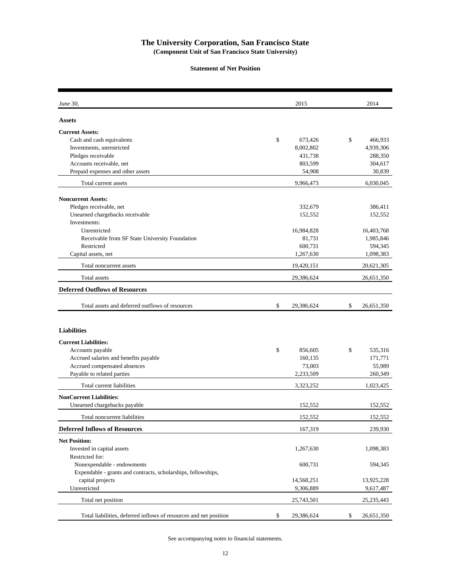#### **Statement of Net Position**

| June 30,                                                          | 2015             | 2014             |
|-------------------------------------------------------------------|------------------|------------------|
| <b>Assets</b>                                                     |                  |                  |
| <b>Current Assets:</b>                                            |                  |                  |
| Cash and cash equivalents                                         | \$<br>673,426    | \$<br>466,933    |
| Investments, unrestricted                                         | 8,002,802        | 4,939,306        |
| Pledges receivable                                                | 431,738          | 288,350          |
| Accounts receivable, net                                          | 803,599          | 304,617          |
| Prepaid expenses and other assets                                 | 54,908           | 30,839           |
| Total current assets                                              | 9,966,473        | 6,030,045        |
| <b>Noncurrent Assets:</b>                                         |                  |                  |
| Pledges receivable, net                                           | 332,679          | 386,411          |
| Unearned chargebacks receivable                                   | 152,552          | 152,552          |
| Investments:                                                      |                  |                  |
| Unrestricted                                                      | 16,984,828       | 16,403,768       |
| Receivable from SF State University Foundation                    | 81,731           | 1,985,846        |
| Restricted                                                        | 600,731          | 594,345          |
| Capital assets, net                                               | 1,267,630        | 1,098,383        |
| Total noncurrent assets                                           | 19,420,151       | 20,621,305       |
| Total assets                                                      | 29,386,624       | 26,651,350       |
| <b>Deferred Outflows of Resources</b>                             |                  |                  |
|                                                                   |                  |                  |
| Total assets and deferred outflows of resources                   | \$<br>29,386,624 | \$<br>26,651,350 |
|                                                                   |                  |                  |
|                                                                   |                  |                  |
| <b>Liabilities</b>                                                |                  |                  |
| <b>Current Liabilities:</b>                                       |                  |                  |
| Accounts payable                                                  | \$<br>856,605    | \$<br>535,316    |
| Accrued salaries and benefits payable                             | 160,135          | 171,771          |
| Accrued compensated absences                                      | 73,003           | 55,989           |
| Payable to related parties                                        | 2,233,509        | 260,349          |
| Total current liabilities                                         | 3,323,252        | 1,023,425        |
| <b>NonCurrent Liabilities:</b>                                    |                  |                  |
| Unearned chargebacks payable                                      | 152,552          | 152,552          |
| Total noncurrent liabilities                                      | 152,552          | 152,552          |
| <b>Deferred Inflows of Resources</b>                              | 167,319          | 239,930          |
|                                                                   |                  |                  |
| <b>Net Position:</b>                                              |                  |                  |
| Invested in capital assets                                        | 1,267,630        | 1,098,383        |
| Restricted for:                                                   |                  |                  |
| Nonexpendable - endowments                                        | 600,731          | 594,345          |
| Expendable - grants and contracts, scholarships, fellowships,     |                  |                  |
| capital projects                                                  | 14,568,251       | 13,925,228       |
| Unrestricted                                                      | 9,306,889        | 9,617,487        |
| Total net position                                                | 25,743,501       | 25, 235, 443     |
| Total liabilities, deferred inflows of resources and net position | \$<br>29,386,624 | \$<br>26,651,350 |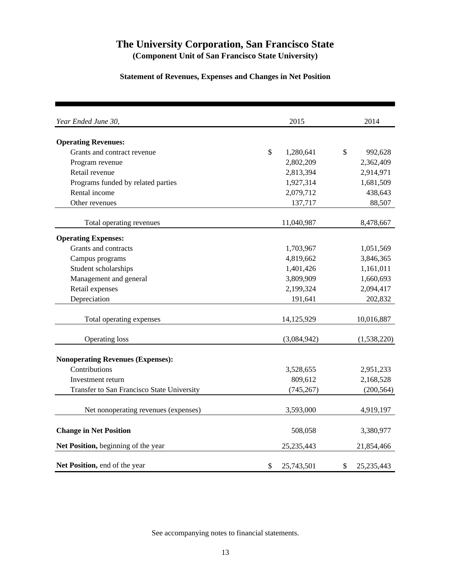#### **Statement of Revenues, Expenses and Changes in Net Position**

| Year Ended June 30,                        | 2015             | 2014               |
|--------------------------------------------|------------------|--------------------|
| <b>Operating Revenues:</b>                 |                  |                    |
| Grants and contract revenue                | \$<br>1,280,641  | \$<br>992,628      |
| Program revenue                            | 2,802,209        | 2,362,409          |
| Retail revenue                             | 2,813,394        | 2,914,971          |
| Programs funded by related parties         | 1,927,314        | 1,681,509          |
| Rental income                              | 2,079,712        | 438,643            |
| Other revenues                             | 137,717          | 88,507             |
| Total operating revenues                   | 11,040,987       | 8,478,667          |
| <b>Operating Expenses:</b>                 |                  |                    |
| Grants and contracts                       | 1,703,967        | 1,051,569          |
| Campus programs                            | 4,819,662        | 3,846,365          |
| Student scholarships                       | 1,401,426        | 1,161,011          |
| Management and general                     | 3,809,909        | 1,660,693          |
| Retail expenses                            | 2,199,324        | 2,094,417          |
| Depreciation                               | 191,641          | 202,832            |
| Total operating expenses                   | 14,125,929       | 10,016,887         |
| <b>Operating loss</b>                      | (3,084,942)      | (1,538,220)        |
| <b>Nonoperating Revenues (Expenses):</b>   |                  |                    |
| Contributions                              | 3,528,655        | 2,951,233          |
| Investment return                          | 809,612          | 2,168,528          |
| Transfer to San Francisco State University | (745, 267)       | (200, 564)         |
| Net nonoperating revenues (expenses)       | 3,593,000        | 4,919,197          |
| <b>Change in Net Position</b>              | 508,058          | 3,380,977          |
| Net Position, beginning of the year        | 25, 235, 443     | 21,854,466         |
| Net Position, end of the year              | \$<br>25,743,501 | \$<br>25, 235, 443 |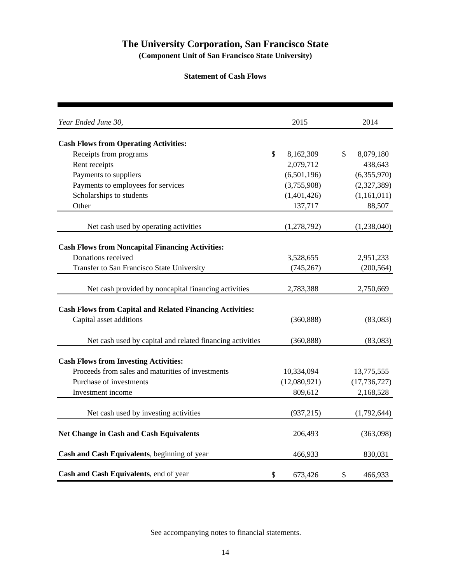### **Statement of Cash Flows**

| Year Ended June 30,                                              | 2015            | 2014            |
|------------------------------------------------------------------|-----------------|-----------------|
| <b>Cash Flows from Operating Activities:</b>                     |                 |                 |
| Receipts from programs                                           | \$<br>8,162,309 | \$<br>8,079,180 |
| Rent receipts                                                    | 2,079,712       | 438,643         |
| Payments to suppliers                                            | (6,501,196)     | (6,355,970)     |
| Payments to employees for services                               | (3,755,908)     | (2,327,389)     |
| Scholarships to students                                         | (1,401,426)     | (1,161,011)     |
| Other                                                            | 137,717         | 88,507          |
| Net cash used by operating activities                            | (1,278,792)     | (1,238,040)     |
| <b>Cash Flows from Noncapital Financing Activities:</b>          |                 |                 |
| Donations received                                               | 3,528,655       | 2,951,233       |
| Transfer to San Francisco State University                       | (745, 267)      | (200, 564)      |
| Net cash provided by noncapital financing activities             | 2,783,388       | 2,750,669       |
| <b>Cash Flows from Capital and Related Financing Activities:</b> |                 |                 |
| Capital asset additions                                          | (360, 888)      | (83,083)        |
| Net cash used by capital and related financing activities        | (360, 888)      | (83,083)        |
| <b>Cash Flows from Investing Activities:</b>                     |                 |                 |
| Proceeds from sales and maturities of investments                | 10,334,094      | 13,775,555      |
| Purchase of investments                                          | (12,080,921)    | (17, 736, 727)  |
| Investment income                                                | 809,612         | 2,168,528       |
| Net cash used by investing activities                            | (937, 215)      | (1,792,644)     |
| <b>Net Change in Cash and Cash Equivalents</b>                   | 206,493         | (363,098)       |
| Cash and Cash Equivalents, beginning of year                     | 466,933         | 830,031         |
| Cash and Cash Equivalents, end of year                           | \$<br>673,426   | \$<br>466,933   |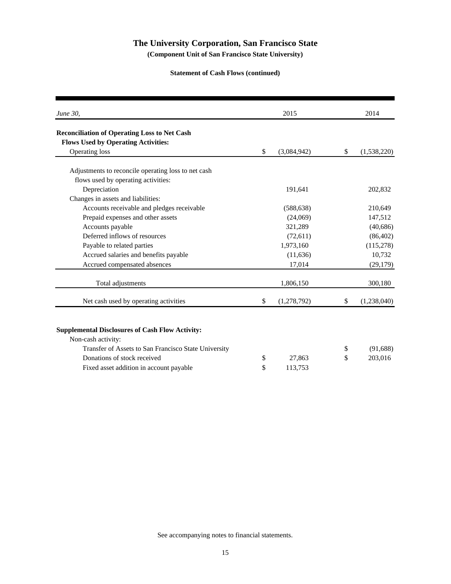## **The University Corporation, San Francisco State**

**(Component Unit of San Francisco State University)**

#### **Statement of Cash Flows (continued)**

| June 30,                                                                                          | 2015              |          | 2014        |
|---------------------------------------------------------------------------------------------------|-------------------|----------|-------------|
| <b>Reconciliation of Operating Loss to Net Cash</b><br><b>Flows Used by Operating Activities:</b> |                   |          |             |
| <b>Operating loss</b>                                                                             | \$<br>(3,084,942) | \$       | (1,538,220) |
| Adjustments to reconcile operating loss to net cash                                               |                   |          |             |
| flows used by operating activities:                                                               |                   |          |             |
| Depreciation                                                                                      | 191,641           |          | 202,832     |
| Changes in assets and liabilities:                                                                |                   |          |             |
| Accounts receivable and pledges receivable                                                        | (588, 638)        |          | 210,649     |
| Prepaid expenses and other assets                                                                 | (24,069)          |          | 147,512     |
| Accounts payable                                                                                  | 321,289           |          | (40,686)    |
| Deferred inflows of resources                                                                     | (72,611)          |          | (86, 402)   |
| Payable to related parties                                                                        | 1,973,160         |          | (115, 278)  |
| Accrued salaries and benefits payable                                                             | (11,636)          |          | 10,732      |
| Accrued compensated absences                                                                      | 17,014            |          | (29, 179)   |
| Total adjustments                                                                                 | 1,806,150         |          | 300,180     |
| Net cash used by operating activities                                                             | \$<br>(1,278,792) | \$       | (1,238,040) |
| <b>Supplemental Disclosures of Cash Flow Activity:</b><br>Non-cash activity:                      |                   |          |             |
|                                                                                                   |                   |          | (91,688)    |
| Transfer of Assets to San Francisco State University<br>Donations of stock received               |                   | \$<br>\$ |             |
|                                                                                                   | \$<br>27,863      |          | 203,016     |
| Fixed asset addition in account payable                                                           | \$<br>113,753     |          |             |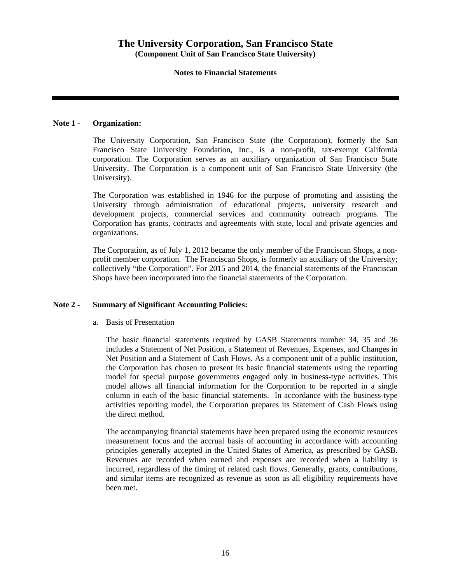#### **Notes to Financial Statements**

#### **Note 1 - Organization:**

The University Corporation, San Francisco State (the Corporation), formerly the San Francisco State University Foundation, Inc., is a non-profit, tax-exempt California corporation. The Corporation serves as an auxiliary organization of San Francisco State University. The Corporation is a component unit of San Francisco State University (the University).

The Corporation was established in 1946 for the purpose of promoting and assisting the University through administration of educational projects, university research and development projects, commercial services and community outreach programs. The Corporation has grants, contracts and agreements with state, local and private agencies and organizations.

The Corporation, as of July 1, 2012 became the only member of the Franciscan Shops, a nonprofit member corporation. The Franciscan Shops, is formerly an auxiliary of the University; collectively "the Corporation". For 2015 and 2014, the financial statements of the Franciscan Shops have been incorporated into the financial statements of the Corporation.

#### **Note 2 - Summary of Significant Accounting Policies:**

#### a. Basis of Presentation

The basic financial statements required by GASB Statements number 34, 35 and 36 includes a Statement of Net Position, a Statement of Revenues, Expenses, and Changes in Net Position and a Statement of Cash Flows. As a component unit of a public institution, the Corporation has chosen to present its basic financial statements using the reporting model for special purpose governments engaged only in business-type activities. This model allows all financial information for the Corporation to be reported in a single column in each of the basic financial statements. In accordance with the business-type activities reporting model, the Corporation prepares its Statement of Cash Flows using the direct method.

The accompanying financial statements have been prepared using the economic resources measurement focus and the accrual basis of accounting in accordance with accounting principles generally accepted in the United States of America, as prescribed by GASB. Revenues are recorded when earned and expenses are recorded when a liability is incurred, regardless of the timing of related cash flows. Generally, grants, contributions, and similar items are recognized as revenue as soon as all eligibility requirements have been met.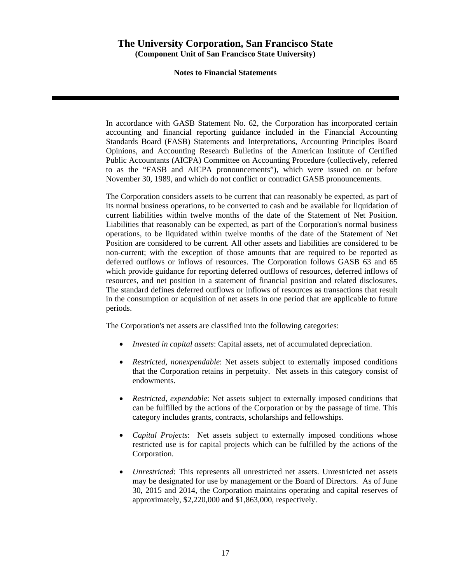#### **Notes to Financial Statements**

In accordance with GASB Statement No. 62, the Corporation has incorporated certain accounting and financial reporting guidance included in the Financial Accounting Standards Board (FASB) Statements and Interpretations, Accounting Principles Board Opinions, and Accounting Research Bulletins of the American Institute of Certified Public Accountants (AICPA) Committee on Accounting Procedure (collectively, referred to as the "FASB and AICPA pronouncements"), which were issued on or before November 30, 1989, and which do not conflict or contradict GASB pronouncements.

The Corporation considers assets to be current that can reasonably be expected, as part of its normal business operations, to be converted to cash and be available for liquidation of current liabilities within twelve months of the date of the Statement of Net Position. Liabilities that reasonably can be expected, as part of the Corporation's normal business operations, to be liquidated within twelve months of the date of the Statement of Net Position are considered to be current. All other assets and liabilities are considered to be non-current; with the exception of those amounts that are required to be reported as deferred outflows or inflows of resources. The Corporation follows GASB 63 and 65 which provide guidance for reporting deferred outflows of resources, deferred inflows of resources, and net position in a statement of financial position and related disclosures. The standard defines deferred outflows or inflows of resources as transactions that result in the consumption or acquisition of net assets in one period that are applicable to future periods.

The Corporation's net assets are classified into the following categories:

- *Invested in capital assets*: Capital assets, net of accumulated depreciation.
- *Restricted, nonexpendable*: Net assets subject to externally imposed conditions that the Corporation retains in perpetuity. Net assets in this category consist of endowments.
- *Restricted, expendable*: Net assets subject to externally imposed conditions that can be fulfilled by the actions of the Corporation or by the passage of time. This category includes grants, contracts, scholarships and fellowships.
- *Capital Projects*: Net assets subject to externally imposed conditions whose restricted use is for capital projects which can be fulfilled by the actions of the Corporation.
- *Unrestricted*: This represents all unrestricted net assets. Unrestricted net assets may be designated for use by management or the Board of Directors. As of June 30, 2015 and 2014, the Corporation maintains operating and capital reserves of approximately, \$2,220,000 and \$1,863,000, respectively.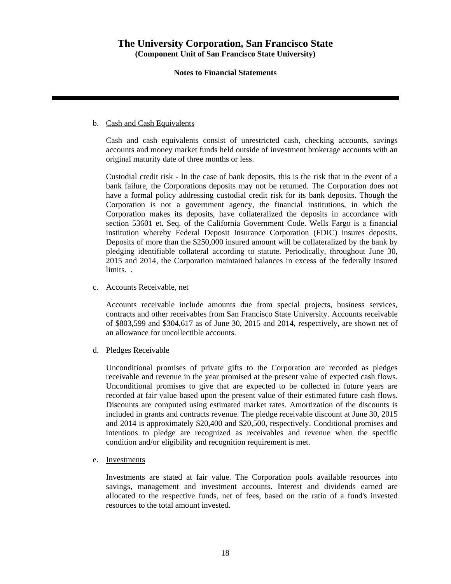#### **Notes to Financial Statements**

#### b. Cash and Cash Equivalents

Cash and cash equivalents consist of unrestricted cash, checking accounts, savings accounts and money market funds held outside of investment brokerage accounts with an original maturity date of three months or less.

Custodial credit risk - In the case of bank deposits, this is the risk that in the event of a bank failure, the Corporations deposits may not be returned. The Corporation does not have a formal policy addressing custodial credit risk for its bank deposits. Though the Corporation is not a government agency, the financial institutions, in which the Corporation makes its deposits, have collateralized the deposits in accordance with section 53601 et. Seq. of the California Government Code. Wells Fargo is a financial institution whereby Federal Deposit Insurance Corporation (FDIC) insures deposits. Deposits of more than the \$250,000 insured amount will be collateralized by the bank by pledging identifiable collateral according to statute. Periodically, throughout June 30, 2015 and 2014, the Corporation maintained balances in excess of the federally insured limits. .

#### c. Accounts Receivable, net

Accounts receivable include amounts due from special projects, business services, contracts and other receivables from San Francisco State University. Accounts receivable of \$803,599 and \$304,617 as of June 30, 2015 and 2014, respectively, are shown net of an allowance for uncollectible accounts.

#### d. Pledges Receivable

Unconditional promises of private gifts to the Corporation are recorded as pledges receivable and revenue in the year promised at the present value of expected cash flows. Unconditional promises to give that are expected to be collected in future years are recorded at fair value based upon the present value of their estimated future cash flows. Discounts are computed using estimated market rates. Amortization of the discounts is included in grants and contracts revenue. The pledge receivable discount at June 30, 2015 and 2014 is approximately \$20,400 and \$20,500, respectively. Conditional promises and intentions to pledge are recognized as receivables and revenue when the specific condition and/or eligibility and recognition requirement is met.

#### e. Investments

Investments are stated at fair value. The Corporation pools available resources into savings, management and investment accounts. Interest and dividends earned are allocated to the respective funds, net of fees, based on the ratio of a fund's invested resources to the total amount invested.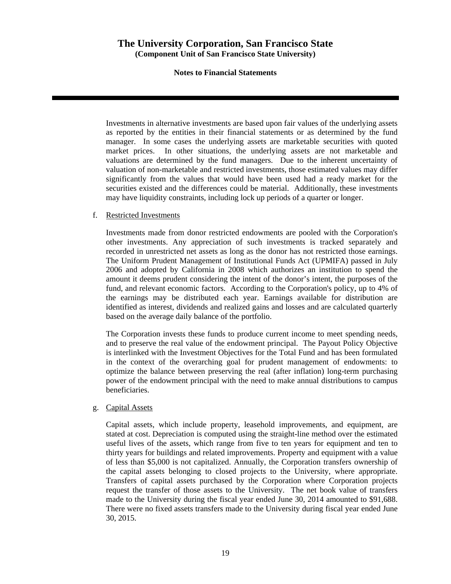#### **Notes to Financial Statements**

Investments in alternative investments are based upon fair values of the underlying assets as reported by the entities in their financial statements or as determined by the fund manager. In some cases the underlying assets are marketable securities with quoted market prices. In other situations, the underlying assets are not marketable and valuations are determined by the fund managers. Due to the inherent uncertainty of valuation of non-marketable and restricted investments, those estimated values may differ significantly from the values that would have been used had a ready market for the securities existed and the differences could be material. Additionally, these investments may have liquidity constraints, including lock up periods of a quarter or longer.

#### f. Restricted Investments

Investments made from donor restricted endowments are pooled with the Corporation's other investments. Any appreciation of such investments is tracked separately and recorded in unrestricted net assets as long as the donor has not restricted those earnings. The Uniform Prudent Management of Institutional Funds Act (UPMIFA) passed in July 2006 and adopted by California in 2008 which authorizes an institution to spend the amount it deems prudent considering the intent of the donor's intent, the purposes of the fund, and relevant economic factors. According to the Corporation's policy, up to 4% of the earnings may be distributed each year. Earnings available for distribution are identified as interest, dividends and realized gains and losses and are calculated quarterly based on the average daily balance of the portfolio.

The Corporation invests these funds to produce current income to meet spending needs, and to preserve the real value of the endowment principal. The Payout Policy Objective is interlinked with the Investment Objectives for the Total Fund and has been formulated in the context of the overarching goal for prudent management of endowments: to optimize the balance between preserving the real (after inflation) long-term purchasing power of the endowment principal with the need to make annual distributions to campus beneficiaries.

#### g. Capital Assets

Capital assets, which include property, leasehold improvements, and equipment, are stated at cost. Depreciation is computed using the straight-line method over the estimated useful lives of the assets, which range from five to ten years for equipment and ten to thirty years for buildings and related improvements. Property and equipment with a value of less than \$5,000 is not capitalized. Annually, the Corporation transfers ownership of the capital assets belonging to closed projects to the University, where appropriate. Transfers of capital assets purchased by the Corporation where Corporation projects request the transfer of those assets to the University. The net book value of transfers made to the University during the fiscal year ended June 30, 2014 amounted to \$91,688. There were no fixed assets transfers made to the University during fiscal year ended June 30, 2015.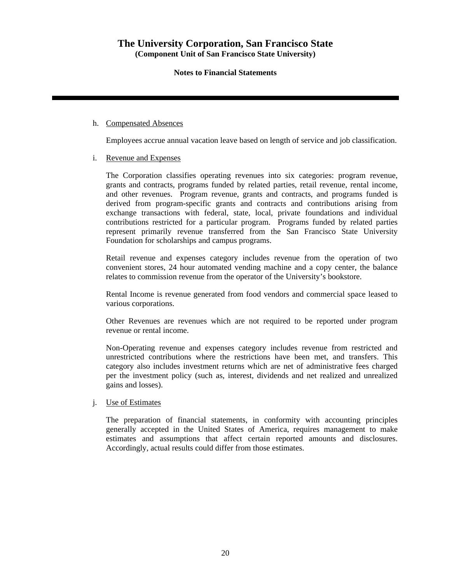#### **Notes to Financial Statements**

#### h. Compensated Absences

Employees accrue annual vacation leave based on length of service and job classification.

#### i. Revenue and Expenses

The Corporation classifies operating revenues into six categories: program revenue, grants and contracts, programs funded by related parties, retail revenue, rental income, and other revenues. Program revenue, grants and contracts, and programs funded is derived from program-specific grants and contracts and contributions arising from exchange transactions with federal, state, local, private foundations and individual contributions restricted for a particular program. Programs funded by related parties represent primarily revenue transferred from the San Francisco State University Foundation for scholarships and campus programs.

Retail revenue and expenses category includes revenue from the operation of two convenient stores, 24 hour automated vending machine and a copy center, the balance relates to commission revenue from the operator of the University's bookstore.

Rental Income is revenue generated from food vendors and commercial space leased to various corporations.

Other Revenues are revenues which are not required to be reported under program revenue or rental income.

Non-Operating revenue and expenses category includes revenue from restricted and unrestricted contributions where the restrictions have been met, and transfers. This category also includes investment returns which are net of administrative fees charged per the investment policy (such as, interest, dividends and net realized and unrealized gains and losses).

#### j. Use of Estimates

The preparation of financial statements, in conformity with accounting principles generally accepted in the United States of America, requires management to make estimates and assumptions that affect certain reported amounts and disclosures. Accordingly, actual results could differ from those estimates.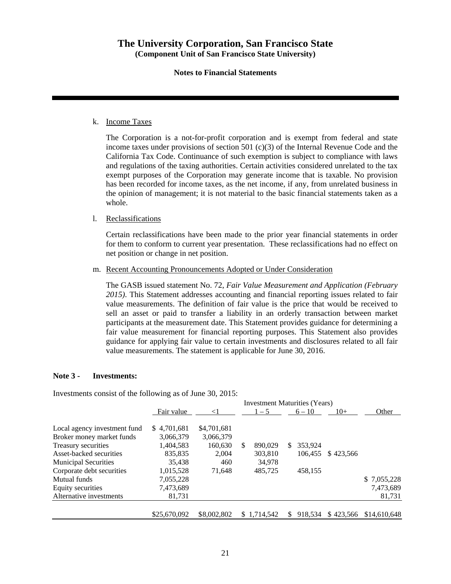#### **Notes to Financial Statements**

#### k. Income Taxes

The Corporation is a not-for-profit corporation and is exempt from federal and state income taxes under provisions of section 501 (c)(3) of the Internal Revenue Code and the California Tax Code. Continuance of such exemption is subject to compliance with laws and regulations of the taxing authorities. Certain activities considered unrelated to the tax exempt purposes of the Corporation may generate income that is taxable. No provision has been recorded for income taxes, as the net income, if any, from unrelated business in the opinion of management; it is not material to the basic financial statements taken as a whole.

#### l. Reclassifications

Certain reclassifications have been made to the prior year financial statements in order for them to conform to current year presentation. These reclassifications had no effect on net position or change in net position.

#### m. Recent Accounting Pronouncements Adopted or Under Consideration

The GASB issued statement No. 72, *Fair Value Measurement and Application (February 2015)*. This Statement addresses accounting and financial reporting issues related to fair value measurements. The definition of fair value is the price that would be received to sell an asset or paid to transfer a liability in an orderly transaction between market participants at the measurement date. This Statement provides guidance for determining a fair value measurement for financial reporting purposes. This Statement also provides guidance for applying fair value to certain investments and disclosures related to all fair value measurements. The statement is applicable for June 30, 2016.

#### **Note 3 - Investments:**

Investments consist of the following as of June 30, 2015:

|                              | <b>Investment Maturities (Years)</b> |             |         |             |     |          |           |              |
|------------------------------|--------------------------------------|-------------|---------|-------------|-----|----------|-----------|--------------|
|                              | Fair value<br>$\leq$ 1               |             | $1 - 5$ |             |     | $6 - 10$ | $10+$     | Other        |
| Local agency investment fund | \$4,701,681                          | \$4,701,681 |         |             |     |          |           |              |
| Broker money market funds    | 3,066,379                            | 3,066,379   |         |             |     |          |           |              |
| Treasury securities          | 1,404,583                            | 160.630     | S       | 890,029     | \$. | 353,924  |           |              |
| Asset-backed securities      | 835,835                              | 2.004       |         | 303,810     |     | 106.455  | \$423,566 |              |
| <b>Municipal Securities</b>  | 35,438                               | 460         |         | 34,978      |     |          |           |              |
| Corporate debt securities    | 1,015,528                            | 71,648      |         | 485.725     |     | 458,155  |           |              |
| Mutual funds                 | 7,055,228                            |             |         |             |     |          |           | \$7,055,228  |
| Equity securities            | 7,473,689                            |             |         |             |     |          |           | 7,473,689    |
| Alternative investments      | 81,731                               |             |         |             |     |          |           | 81,731       |
|                              | \$25,670,092                         | \$8,002,802 |         | \$1.714.542 | S.  | 918.534  | \$423.566 | \$14,610,648 |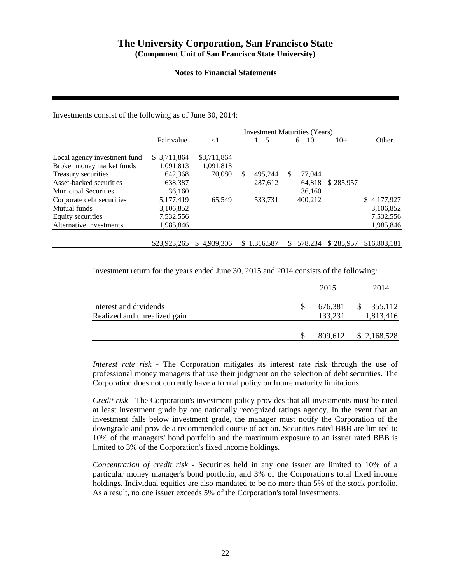#### **Notes to Financial Statements**

Investments consist of the following as of June 30, 2014:

|                              |              | <b>Investment Maturities (Years)</b> |         |             |               |         |           |              |  |  |
|------------------------------|--------------|--------------------------------------|---------|-------------|---------------|---------|-----------|--------------|--|--|
|                              | Fair value   | $\leq$ 1                             | $1 - 5$ |             | $6 - 10$      |         | $10+$     | Other        |  |  |
| Local agency investment fund | \$ 3,711,864 | \$3,711,864                          |         |             |               |         |           |              |  |  |
| Broker money market funds    | 1,091,813    | 1.091.813                            |         |             |               |         |           |              |  |  |
| Treasury securities          | 642.368      | 70,080                               | \$      | 495.244     | <sup>\$</sup> | 77.044  |           |              |  |  |
| Asset-backed securities      | 638,387      |                                      |         | 287,612     |               | 64.818  | \$285,957 |              |  |  |
| <b>Municipal Securities</b>  | 36,160       |                                      |         |             |               | 36,160  |           |              |  |  |
| Corporate debt securities    | 5,177,419    | 65.549                               |         | 533.731     |               | 400.212 |           | \$4,177,927  |  |  |
| Mutual funds                 | 3,106,852    |                                      |         |             |               |         |           | 3,106,852    |  |  |
| Equity securities            | 7,532,556    |                                      |         |             |               |         |           | 7,532,556    |  |  |
| Alternative investments      | 1.985.846    |                                      |         |             |               |         |           | 1,985,846    |  |  |
|                              | \$23,923,265 | \$4.939.306                          |         | \$1.316.587 | S             | 578.234 | \$285,957 | \$16,803,181 |  |  |

Investment return for the years ended June 30, 2015 and 2014 consists of the following:

|                                                        | 2015               | 2014                   |
|--------------------------------------------------------|--------------------|------------------------|
| Interest and dividends<br>Realized and unrealized gain | 676,381<br>133,231 | \$355,112<br>1,813,416 |
|                                                        |                    | 809,612 \$ 2,168,528   |

*Interest rate risk* - The Corporation mitigates its interest rate risk through the use of professional money managers that use their judgment on the selection of debt securities. The Corporation does not currently have a formal policy on future maturity limitations.

*Credit risk* - The Corporation's investment policy provides that all investments must be rated at least investment grade by one nationally recognized ratings agency. In the event that an investment falls below investment grade, the manager must notify the Corporation of the downgrade and provide a recommended course of action. Securities rated BBB are limited to 10% of the managers' bond portfolio and the maximum exposure to an issuer rated BBB is limited to 3% of the Corporation's fixed income holdings.

*Concentration of credit risk* - Securities held in any one issuer are limited to 10% of a particular money manager's bond portfolio, and 3% of the Corporation's total fixed income holdings. Individual equities are also mandated to be no more than 5% of the stock portfolio. As a result, no one issuer exceeds 5% of the Corporation's total investments.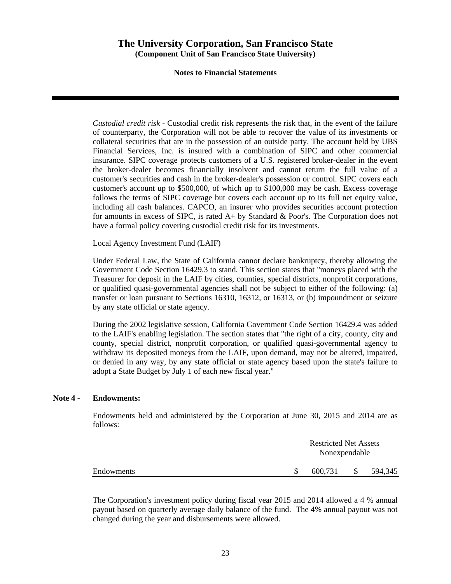#### **Notes to Financial Statements**

*Custodial credit risk* - Custodial credit risk represents the risk that, in the event of the failure of counterparty, the Corporation will not be able to recover the value of its investments or collateral securities that are in the possession of an outside party. The account held by UBS Financial Services, Inc. is insured with a combination of SIPC and other commercial insurance. SIPC coverage protects customers of a U.S. registered broker-dealer in the event the broker-dealer becomes financially insolvent and cannot return the full value of a customer's securities and cash in the broker-dealer's possession or control. SIPC covers each customer's account up to \$500,000, of which up to \$100,000 may be cash. Excess coverage follows the terms of SIPC coverage but covers each account up to its full net equity value, including all cash balances. CAPCO, an insurer who provides securities account protection for amounts in excess of SIPC, is rated A+ by Standard & Poor's. The Corporation does not have a formal policy covering custodial credit risk for its investments.

Local Agency Investment Fund (LAIF)

Under Federal Law, the State of California cannot declare bankruptcy, thereby allowing the Government Code Section 16429.3 to stand. This section states that "moneys placed with the Treasurer for deposit in the LAIF by cities, counties, special districts, nonprofit corporations, or qualified quasi-governmental agencies shall not be subject to either of the following: (a) transfer or loan pursuant to Sections 16310, 16312, or 16313, or (b) impoundment or seizure by any state official or state agency.

During the 2002 legislative session, California Government Code Section 16429.4 was added to the LAIF's enabling legislation. The section states that "the right of a city, county, city and county, special district, nonprofit corporation, or qualified quasi-governmental agency to withdraw its deposited moneys from the LAIF, upon demand, may not be altered, impaired, or denied in any way, by any state official or state agency based upon the state's failure to adopt a State Budget by July 1 of each new fiscal year."

#### **Note 4 - Endowments:**

Endowments held and administered by the Corporation at June 30, 2015 and 2014 are as follows:

|            | <b>Restricted Net Assets</b><br>Nonexpendable |  |         |  |
|------------|-----------------------------------------------|--|---------|--|
| Endowments | 600,731                                       |  | 594,345 |  |

The Corporation's investment policy during fiscal year 2015 and 2014 allowed a 4 % annual payout based on quarterly average daily balance of the fund. The 4% annual payout was not changed during the year and disbursements were allowed.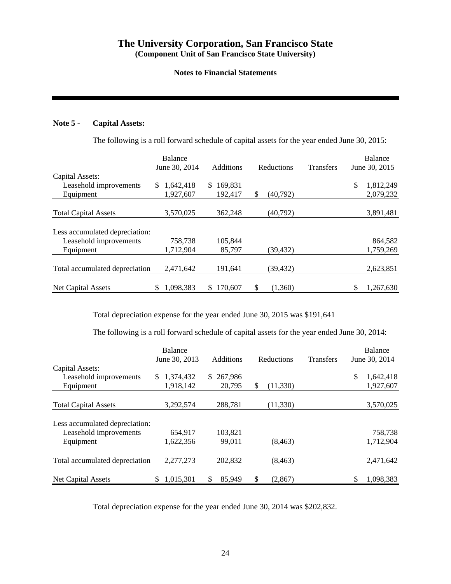#### **Notes to Financial Statements**

## **Note 5 - Capital Assets:**

The following is a roll forward schedule of capital assets for the year ended June 30, 2015:

|                                |    | <b>Balance</b><br>June 30, 2014 |    | <b>Additions</b> | Reductions     | <b>Transfers</b> | Balance<br>June 30, 2015 |
|--------------------------------|----|---------------------------------|----|------------------|----------------|------------------|--------------------------|
| Capital Assets:                |    |                                 |    |                  |                |                  |                          |
| Leasehold improvements         | \$ | 1,642,418                       | S. | 169,831          |                |                  | \$<br>1,812,249          |
| Equipment                      |    | 1,927,607                       |    | 192,417          | \$<br>(40,792) |                  | 2,079,232                |
|                                |    |                                 |    |                  |                |                  |                          |
| <b>Total Capital Assets</b>    |    | 3,570,025                       |    | 362,248          | (40,792)       |                  | 3,891,481                |
| Less accumulated depreciation: |    |                                 |    |                  |                |                  |                          |
| Leasehold improvements         |    | 758,738                         |    | 105,844          |                |                  | 864,582                  |
| Equipment                      |    | 1,712,904                       |    | 85,797           | (39,432)       |                  | 1,759,269                |
| Total accumulated depreciation |    | 2,471,642                       |    | 191,641          | (39,432)       |                  | 2,623,851                |
|                                |    |                                 |    |                  |                |                  |                          |
| Net Capital Assets             | S  | 1,098,383                       | S. | 170,607          | \$<br>(1,360)  |                  | \$<br>1,267,630          |

Total depreciation expense for the year ended June 30, 2015 was \$191,641

The following is a roll forward schedule of capital assets for the year ended June 30, 2014:

|                                |     | <b>Balance</b><br>June 30, 2013 |    | <b>Additions</b> |    | Reductions | <b>Transfers</b> | <b>Balance</b><br>June 30, 2014 |
|--------------------------------|-----|---------------------------------|----|------------------|----|------------|------------------|---------------------------------|
| Capital Assets:                |     |                                 |    |                  |    |            |                  |                                 |
| Leasehold improvements         | \$. | 1,374,432                       | S. | 267.986          |    |            |                  | \$<br>1,642,418                 |
| Equipment                      |     | 1,918,142                       |    | 20,795           | \$ | (11, 330)  |                  | 1,927,607                       |
|                                |     |                                 |    |                  |    |            |                  |                                 |
| <b>Total Capital Assets</b>    |     | 3,292,574                       |    | 288,781          |    | (11, 330)  |                  | 3,570,025                       |
| Less accumulated depreciation: |     |                                 |    |                  |    |            |                  |                                 |
| Leasehold improvements         |     | 654,917                         |    | 103.821          |    |            |                  | 758,738                         |
| Equipment                      |     | 1,622,356                       |    | 99,011           |    | (8, 463)   |                  | 1,712,904                       |
| Total accumulated depreciation |     | 2,277,273                       |    | 202,832          |    | (8, 463)   |                  | 2,471,642                       |
| <b>Net Capital Assets</b>      | \$. | 1.015.301                       | \$ | 85,949           | \$ | (2,867)    |                  | \$<br>1,098,383                 |

Total depreciation expense for the year ended June 30, 2014 was \$202,832.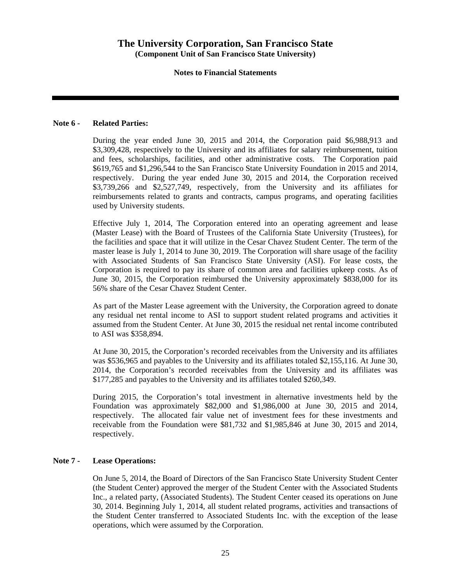#### **Notes to Financial Statements**

#### **Note 6 - Related Parties:**

During the year ended June 30, 2015 and 2014, the Corporation paid \$6,988,913 and \$3,309,428, respectively to the University and its affiliates for salary reimbursement, tuition and fees, scholarships, facilities, and other administrative costs. The Corporation paid \$619,765 and \$1,296,544 to the San Francisco State University Foundation in 2015 and 2014, respectively. During the year ended June 30, 2015 and 2014, the Corporation received \$3,739,266 and \$2,527,749, respectively, from the University and its affiliates for reimbursements related to grants and contracts, campus programs, and operating facilities used by University students.

Effective July 1, 2014, The Corporation entered into an operating agreement and lease (Master Lease) with the Board of Trustees of the California State University (Trustees), for the facilities and space that it will utilize in the Cesar Chavez Student Center. The term of the master lease is July 1, 2014 to June 30, 2019. The Corporation will share usage of the facility with Associated Students of San Francisco State University (ASI). For lease costs, the Corporation is required to pay its share of common area and facilities upkeep costs. As of June 30, 2015, the Corporation reimbursed the University approximately \$838,000 for its 56% share of the Cesar Chavez Student Center.

As part of the Master Lease agreement with the University, the Corporation agreed to donate any residual net rental income to ASI to support student related programs and activities it assumed from the Student Center. At June 30, 2015 the residual net rental income contributed to ASI was \$358,894.

At June 30, 2015, the Corporation's recorded receivables from the University and its affiliates was \$536,965 and payables to the University and its affiliates totaled \$2,155,116. At June 30, 2014, the Corporation's recorded receivables from the University and its affiliates was \$177,285 and payables to the University and its affiliates totaled \$260,349.

During 2015, the Corporation's total investment in alternative investments held by the Foundation was approximately \$82,000 and \$1,986,000 at June 30, 2015 and 2014, respectively. The allocated fair value net of investment fees for these investments and receivable from the Foundation were \$81,732 and \$1,985,846 at June 30, 2015 and 2014, respectively.

#### **Note 7 - Lease Operations:**

On June 5, 2014, the Board of Directors of the San Francisco State University Student Center (the Student Center) approved the merger of the Student Center with the Associated Students Inc., a related party, (Associated Students). The Student Center ceased its operations on June 30, 2014. Beginning July 1, 2014, all student related programs, activities and transactions of the Student Center transferred to Associated Students Inc. with the exception of the lease operations, which were assumed by the Corporation.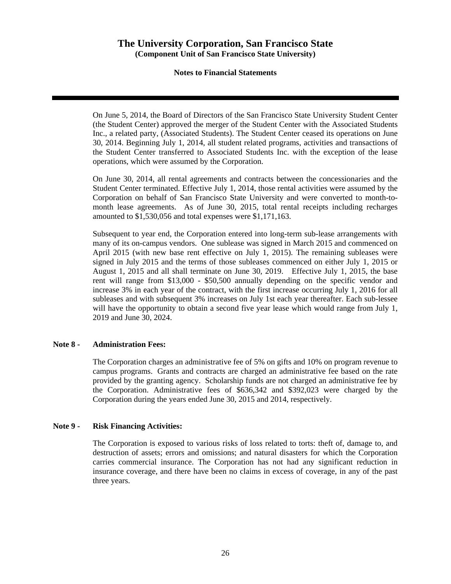#### **Notes to Financial Statements**

On June 5, 2014, the Board of Directors of the San Francisco State University Student Center (the Student Center) approved the merger of the Student Center with the Associated Students Inc., a related party, (Associated Students). The Student Center ceased its operations on June 30, 2014. Beginning July 1, 2014, all student related programs, activities and transactions of the Student Center transferred to Associated Students Inc. with the exception of the lease operations, which were assumed by the Corporation.

On June 30, 2014, all rental agreements and contracts between the concessionaries and the Student Center terminated. Effective July 1, 2014, those rental activities were assumed by the Corporation on behalf of San Francisco State University and were converted to month-tomonth lease agreements. As of June 30, 2015, total rental receipts including recharges amounted to \$1,530,056 and total expenses were \$1,171,163.

Subsequent to year end, the Corporation entered into long-term sub-lease arrangements with many of its on-campus vendors. One sublease was signed in March 2015 and commenced on April 2015 (with new base rent effective on July 1, 2015). The remaining subleases were signed in July 2015 and the terms of those subleases commenced on either July 1, 2015 or August 1, 2015 and all shall terminate on June 30, 2019. Effective July 1, 2015, the base rent will range from \$13,000 - \$50,500 annually depending on the specific vendor and increase 3% in each year of the contract, with the first increase occurring July 1, 2016 for all subleases and with subsequent 3% increases on July 1st each year thereafter. Each sub-lessee will have the opportunity to obtain a second five year lease which would range from July 1, 2019 and June 30, 2024.

### **Note 8 - Administration Fees:**

The Corporation charges an administrative fee of 5% on gifts and 10% on program revenue to campus programs. Grants and contracts are charged an administrative fee based on the rate provided by the granting agency. Scholarship funds are not charged an administrative fee by the Corporation. Administrative fees of \$636,342 and \$392,023 were charged by the Corporation during the years ended June 30, 2015 and 2014, respectively.

### **Note 9 - Risk Financing Activities:**

The Corporation is exposed to various risks of loss related to torts: theft of, damage to, and destruction of assets; errors and omissions; and natural disasters for which the Corporation carries commercial insurance. The Corporation has not had any significant reduction in insurance coverage, and there have been no claims in excess of coverage, in any of the past three years.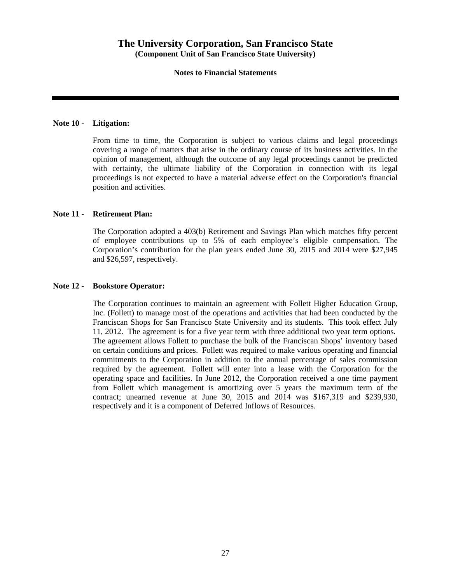#### **Notes to Financial Statements**

#### **Note 10 - Litigation:**

From time to time, the Corporation is subject to various claims and legal proceedings covering a range of matters that arise in the ordinary course of its business activities. In the opinion of management, although the outcome of any legal proceedings cannot be predicted with certainty, the ultimate liability of the Corporation in connection with its legal proceedings is not expected to have a material adverse effect on the Corporation's financial position and activities.

#### **Note 11 - Retirement Plan:**

The Corporation adopted a 403(b) Retirement and Savings Plan which matches fifty percent of employee contributions up to 5% of each employee's eligible compensation. The Corporation's contribution for the plan years ended June 30, 2015 and 2014 were \$27,945 and \$26,597, respectively.

#### **Note 12 - Bookstore Operator:**

The Corporation continues to maintain an agreement with Follett Higher Education Group, Inc. (Follett) to manage most of the operations and activities that had been conducted by the Franciscan Shops for San Francisco State University and its students. This took effect July 11, 2012. The agreement is for a five year term with three additional two year term options. The agreement allows Follett to purchase the bulk of the Franciscan Shops' inventory based on certain conditions and prices. Follett was required to make various operating and financial commitments to the Corporation in addition to the annual percentage of sales commission required by the agreement. Follett will enter into a lease with the Corporation for the operating space and facilities. In June 2012, the Corporation received a one time payment from Follett which management is amortizing over 5 years the maximum term of the contract; unearned revenue at June 30, 2015 and 2014 was \$167,319 and \$239,930, respectively and it is a component of Deferred Inflows of Resources.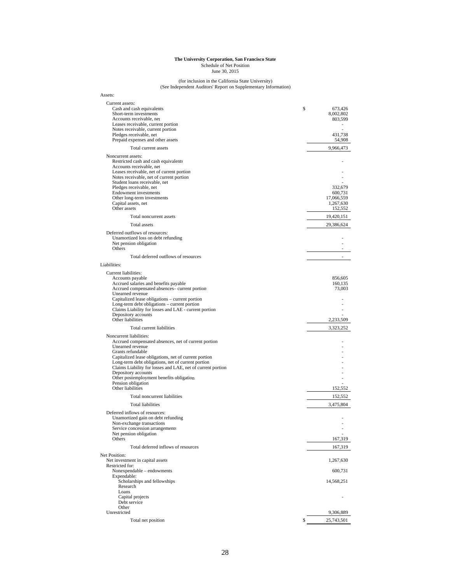#### **The University Corporation, San Francisco State**

Schedule of Net Position June 30, 2015

#### (for inclusion in the California State University)

Assets:

#### (See Independent Auditors' Report on Supplementary Information)

| Current assets:                                                                                 |                       |
|-------------------------------------------------------------------------------------------------|-----------------------|
| Cash and cash equivalents                                                                       | \$<br>673,426         |
| Short-term investments<br>Accounts receivable, net                                              | 8,002,802<br>803,599  |
| Leases receivable, current portion                                                              |                       |
| Notes receivable, current portion                                                               | ×.                    |
| Pledges receivable, net<br>Prepaid expenses and other assets                                    | 431,738<br>54,908     |
| Total current assets                                                                            | 9,966,473             |
| Noncurrent assets:                                                                              |                       |
| Restricted cash and cash equivalents                                                            |                       |
| Accounts receivable, net                                                                        |                       |
| Leases receivable, net of current portion<br>Notes receivable, net of current portion           |                       |
| Student loans receivable, net                                                                   |                       |
| Pledges receivable, net                                                                         | 332,679               |
| <b>Endowment</b> investments<br>Other long-term investments                                     | 600,731<br>17,066,559 |
| Capital assets, net                                                                             | 1,267,630             |
| Other assets                                                                                    | 152,552               |
| Total noncurrent assets                                                                         | 19,420,151            |
| <b>Total</b> assets                                                                             | 29,386,624            |
| Deferred outflows of resources:                                                                 |                       |
| Unamortized loss on debt refunding<br>Net pension obligation                                    |                       |
| Others                                                                                          |                       |
| Total deferred outflows of resources                                                            | ×.                    |
| Liabilities:                                                                                    |                       |
| Current liabilities:                                                                            |                       |
| Accounts payable<br>Accrued salaries and benefits payable                                       | 856,605<br>160,135    |
| Accrued compensated absences- current portion                                                   | 73,003                |
| Unearned revenue                                                                                |                       |
| Capitalized lease obligations - current portion<br>Long-term debt obligations - current portion |                       |
| Claims Liability for losses and LAE - current portion                                           |                       |
| Depository accounts<br>Other liabilities                                                        | 2,233,509             |
| Total current liabilities                                                                       | 3,323,252             |
| Noncurrent liabilities:                                                                         |                       |
| Accrued compensated absences, net of current portion                                            |                       |
| Unearned revenue                                                                                |                       |
| Grants refundable<br>Capitalized lease obligations, net of current portion                      |                       |
| Long-term debt obligations, net of current portion                                              |                       |
| Claims Liability for losses and LAE, net of current portion                                     |                       |
| Depository accounts<br>Other postemployment benefits obligation                                 |                       |
| Pension obligation                                                                              |                       |
| Other liabilities                                                                               | 152,552               |
| Total noncurrent liabilities                                                                    | 152,552               |
| <b>Total liabilities</b>                                                                        | 3.475.804             |
| Deferred inflows of resources:<br>Unamortized gain on debt refunding                            |                       |
| Non-exchange transactions                                                                       |                       |
| Service concession arrangements                                                                 |                       |
| Net pension obligation<br><b>Others</b>                                                         | 167,319               |
| Total deferred inflows of resources                                                             | 167,319               |
| Net Position:                                                                                   |                       |
| Net investment in capital assets                                                                | 1,267,630             |
| Restricted for:<br>Nonexpendable - endowments                                                   | 600,731               |
| Expendable:                                                                                     |                       |
| Scholarships and fellowships<br>Research                                                        | 14,568,251            |
| Loans                                                                                           |                       |
| Capital projects                                                                                |                       |
| Debt service<br>Other                                                                           |                       |
| Unrestricted                                                                                    | 9,306,889             |
| Total net position                                                                              | \$<br>25,743,501      |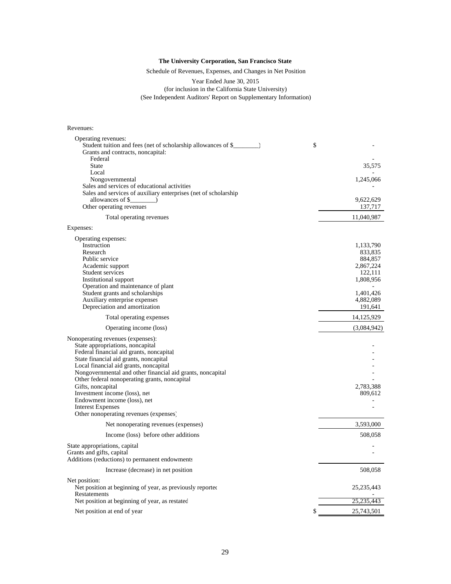#### **The University Corporation, San Francisco State**

Schedule of Revenues, Expenses, and Changes in Net Position Year Ended June 30, 2015 (for inclusion in the California State University) (See Independent Auditors' Report on Supplementary Information)

#### Revenues:

| Operating revenues:<br>Student tuition and fees (net of scholarship allowances of \$<br>Grants and contracts, noncapital: | \$               |
|---------------------------------------------------------------------------------------------------------------------------|------------------|
| Federal<br><b>State</b>                                                                                                   | 35,575           |
| Local                                                                                                                     |                  |
| Nongovernmental                                                                                                           | 1,245,066        |
| Sales and services of educational activities                                                                              |                  |
| Sales and services of auxiliary enterprises (net of scholarship<br>allowances of \$<br>$\rightarrow$                      | 9,622,629        |
| Other operating revenues                                                                                                  | 137,717          |
| Total operating revenues                                                                                                  | 11,040,987       |
| Expenses:                                                                                                                 |                  |
| Operating expenses:                                                                                                       |                  |
| Instruction                                                                                                               | 1,133,790        |
| Research                                                                                                                  | 833,835          |
| Public service                                                                                                            | 884,857          |
| Academic support                                                                                                          | 2,867,224        |
| Student services                                                                                                          | 122,111          |
| Institutional support<br>Operation and maintenance of plant                                                               | 1,808,956        |
| Student grants and scholarships                                                                                           | 1,401,426        |
| Auxiliary enterprise expenses                                                                                             | 4,882,089        |
| Depreciation and amortization                                                                                             | 191,641          |
| Total operating expenses                                                                                                  | 14, 125, 929     |
| Operating income (loss)                                                                                                   | (3,084,942)      |
| Nonoperating revenues (expenses):                                                                                         |                  |
| State appropriations, noncapital                                                                                          |                  |
| Federal financial aid grants, noncapital                                                                                  |                  |
| State financial aid grants, noncapital                                                                                    |                  |
| Local financial aid grants, noncapital                                                                                    |                  |
| Nongovernmental and other financial aid grants, noncapital                                                                |                  |
| Other federal nonoperating grants, noncapital<br>Gifts, noncapital                                                        | 2,783,388        |
| Investment income (loss), net                                                                                             | 809,612          |
| Endowment income (loss), net                                                                                              |                  |
| <b>Interest Expenses</b>                                                                                                  |                  |
| Other nonoperating revenues (expenses)                                                                                    |                  |
| Net nonoperating revenues (expenses)                                                                                      | 3,593,000        |
| Income (loss) before other additions                                                                                      | 508,058          |
| State appropriations, capital                                                                                             |                  |
| Grants and gifts, capital                                                                                                 |                  |
| Additions (reductions) to permanent endowments                                                                            |                  |
| Increase (decrease) in net position                                                                                       | 508,058          |
| Net position:                                                                                                             |                  |
| Net position at beginning of year, as previously reported<br>Restatements                                                 | 25, 235, 443     |
| Net position at beginning of year, as restated                                                                            | 25,235,443       |
| Net position at end of year                                                                                               | \$<br>25,743,501 |
|                                                                                                                           |                  |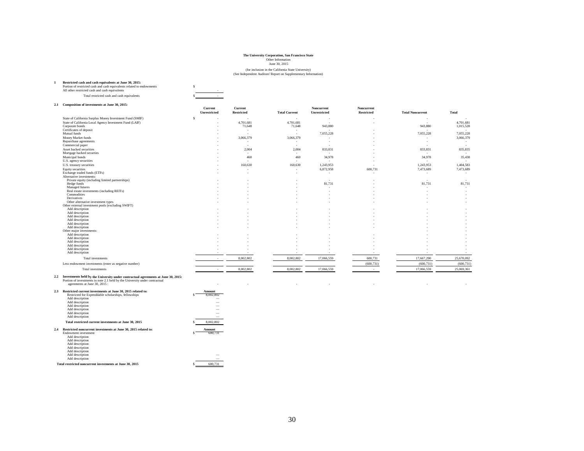#### **The University Corporation, San Francisco State** Other Information June 30, 2015

#### (for inclusion in the California State University) (See Independent Auditors' Report on Supplementary Information)

**1 Restricted cash and cash equivalents at June 30, 2015:**<br>
Portion of restricted cash and cash equivalents related to endowments **5**<br>
All other restricted cash and cash equivalents -

| Total restricted cash and cash equivalents |  |  |
|--------------------------------------------|--|--|

|         | 2.1 Composition of investments at June 30, 2015:                                  |               |                         |                               |                                    |                            |                                 |                                       |                |
|---------|-----------------------------------------------------------------------------------|---------------|-------------------------|-------------------------------|------------------------------------|----------------------------|---------------------------------|---------------------------------------|----------------|
|         |                                                                                   |               | Current<br>Unrestricted | Current<br>Restricted         | <b>Total Current</b>               | Noncurrent<br>Unrestricted | Noncurrent<br><b>Restricted</b> | <b>Total Noncurrent</b>               | Total          |
|         |                                                                                   |               |                         |                               |                                    |                            |                                 |                                       |                |
|         | State of California Surplus Money Investment Fund (SMIF)                          | <sup>\$</sup> |                         | ٠                             | $\sim$                             | $\overline{\phantom{a}}$   |                                 | $\overline{\phantom{a}}$              |                |
|         | State of California Local Agency Investment Fund (LAIF)                           |               |                         | 4,701,681                     | 4,701,681                          | $\overline{\phantom{a}}$   |                                 | $\sim$                                | 4,701,681      |
|         | Corporate bonds                                                                   |               |                         | 71,648                        | 71,648                             | 943,880                    |                                 | 943,880                               | 1,015,528      |
|         | Certificates of deposit<br>Mutual funds                                           |               |                         | ٠                             |                                    | 7,055,228                  |                                 | $\overline{\phantom{a}}$<br>7,055,228 | 7,055,228      |
|         |                                                                                   |               |                         | $\overline{\phantom{a}}$      | $\sim$                             |                            |                                 |                                       |                |
|         | Money Market funds<br>Repurchase agreements                                       |               |                         | 3,066,379                     | 3,066,379                          | ٠<br>٠                     |                                 | $\sim$<br>$\sim$                      | 3,066,379      |
|         | Commercial paper                                                                  |               |                         | ٠<br>$\overline{\phantom{a}}$ | $\sim$<br>$\overline{\phantom{a}}$ |                            |                                 | $\overline{\phantom{a}}$              | $\sim$         |
|         | Asset backed securities                                                           |               |                         |                               |                                    |                            |                                 |                                       |                |
|         | Mortgage backed securties                                                         |               |                         | 2,004                         | 2,004                              | 833,831                    |                                 | 833,831                               | 835,835        |
|         |                                                                                   |               |                         | $\sim$                        | $\sim$                             | $\sim$                     |                                 | $\sim$                                |                |
|         | Municipal bonds                                                                   |               |                         | 460                           | 460                                | 34,978                     |                                 | 34,978                                | 35,438         |
|         | U.S. agency securities                                                            |               |                         | ٠                             | $\sim$                             | ٠                          |                                 | ٠                                     | $\sim$         |
|         | U.S. treasury securities                                                          |               |                         | 160,630                       | 160,630                            | 1,243,953                  |                                 | 1,243,953                             | 1,404,583      |
|         | Equity securities                                                                 |               |                         | $\overline{a}$                | $\overline{\phantom{a}}$           | 6,872,958                  | 600,731                         | 7,473,689                             | 7,473,689      |
|         | Exchange traded funds (ETFs)                                                      |               |                         | ٠                             | $\overline{\phantom{a}}$           | $\sim$                     | $\overline{\phantom{a}}$        | $\sim$                                |                |
|         | Alternative investments:                                                          |               |                         |                               |                                    |                            |                                 |                                       |                |
|         | Private equity (including limited partnerships)                                   |               |                         |                               | $\overline{\phantom{a}}$           | $\sim$                     |                                 | $\overline{\phantom{a}}$              | $\sim$         |
|         | Hedge funds<br>Managed futures                                                    |               |                         |                               |                                    | 81,731                     |                                 | 81,731                                | 81,731         |
|         | Real estate investments (including REITs)                                         |               |                         |                               |                                    | $\overline{\phantom{a}}$   |                                 | $\sim$<br>$\overline{\phantom{a}}$    | $\overline{a}$ |
|         | Commodities                                                                       |               |                         |                               |                                    |                            |                                 |                                       |                |
|         | Derivatives                                                                       |               |                         |                               |                                    |                            |                                 |                                       |                |
|         | Other alternative investment types                                                |               |                         |                               |                                    |                            |                                 |                                       |                |
|         | Other external investment pools (excluding SWIFT)                                 |               |                         |                               |                                    |                            |                                 |                                       |                |
|         | Add description                                                                   |               |                         |                               |                                    |                            |                                 |                                       |                |
|         | Add description                                                                   |               |                         |                               |                                    |                            |                                 |                                       |                |
|         | Add description                                                                   |               |                         |                               |                                    |                            |                                 |                                       |                |
|         | Add description                                                                   |               |                         |                               |                                    |                            |                                 |                                       |                |
|         | Add description                                                                   |               |                         |                               |                                    |                            |                                 |                                       |                |
|         | Add description                                                                   |               |                         |                               |                                    |                            |                                 |                                       |                |
|         | Other major investments:                                                          |               |                         |                               |                                    |                            |                                 |                                       |                |
|         | Add description                                                                   |               |                         |                               |                                    |                            |                                 |                                       |                |
|         | Add description                                                                   |               |                         |                               |                                    |                            |                                 |                                       |                |
|         | Add description                                                                   |               |                         |                               |                                    |                            |                                 |                                       |                |
|         | Add description                                                                   |               |                         |                               |                                    |                            |                                 |                                       |                |
|         | Add description                                                                   |               |                         |                               |                                    |                            |                                 |                                       |                |
|         | Add description                                                                   |               |                         | $\sim$                        |                                    | ٠.                         | ۰.                              | ٠                                     |                |
|         | Total investments                                                                 |               |                         | 8,002,802                     | 8,002,802                          | 17,066,559                 | 600,731                         | 17,667,290                            | 25,670,092     |
|         | Less endowment investments (enter as negative number)                             |               |                         |                               |                                    |                            | (600, 731)                      | (600, 731)                            | (600, 731)     |
|         | Total investments                                                                 |               | $\sim$                  | 8,002,802                     | 8,002,802                          | 17,066,559                 | $\sim$                          | 17,066,559                            | 25,069,361     |
| $2.2\,$ | Investments held by the University under contractual agreements at June 30, 2015: |               |                         |                               |                                    |                            |                                 |                                       |                |

**2.2 Investments held by the University under contractual agreements at June 30, 2015:** Portion of investments in note 2.1 held by the University under contractual

| Restricted current investments at June 30, 2015 related to:                                                                                                                                                                     | Amount |  |  |  |
|---------------------------------------------------------------------------------------------------------------------------------------------------------------------------------------------------------------------------------|--------|--|--|--|
| TORTON OF HIVESURGHIS IN HOLE 2.1 HERE DY THE CHIVEL SILY UNICE CONTRACTUAL<br>agreements at June 30, 2015 :<br>the contract of the contract of the contract of the contract of the contract of the contract of the contract of |        |  |  |  |

| 2.3 | Restricted current investments at June 30, 2015 related to:    |   | Amount    |
|-----|----------------------------------------------------------------|---|-----------|
|     | Restricted for Expenddable scholarships, fellowships           | s | 8,002,802 |
|     | Add description                                                |   |           |
|     | Add description                                                |   |           |
|     | Add description                                                |   |           |
|     | Add description                                                |   |           |
|     | Add description                                                |   |           |
|     | Add description                                                |   |           |
|     | Total restricted current investments at June 30, 2015          | S | 8,002,802 |
| 2.4 | Restricted noncurrent investments at June 30, 2015 related to: |   | Amount    |
|     | Endowment investment                                           | S | 600.731   |
|     | Add description                                                |   |           |
|     | Add description                                                |   |           |
|     | Add description                                                |   |           |
|     | Add description                                                |   |           |
|     | Add description                                                |   |           |
|     | Add description                                                |   |           |
|     | Add description                                                |   |           |
|     | Total restricted noncurrent investments at June 30, 2015       | S | 600.731   |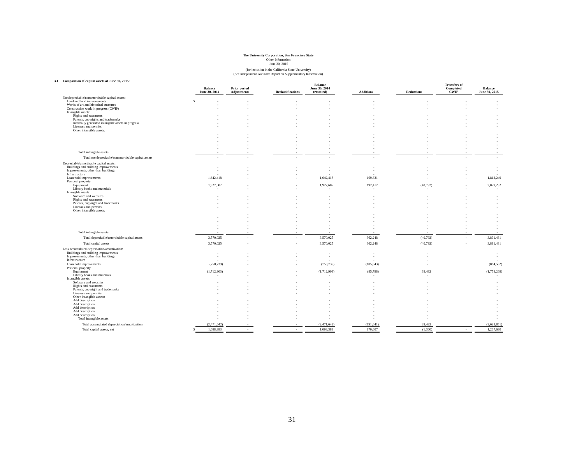#### **The University Corporation, San Francisco State** Other Information

June 30, 2015

(for inclusion in the California State University) (See Independent Auditors' Report on Supplementary Information)

#### **3.1 Composition of capital assets at June 30, 2015:**

| Composition or capital assets at June 50, 2015.                           | <b>Balance</b><br>June 30, 2014 | Prior period<br><b>Adjustments</b> | <b>Reclassifications</b> | <b>Balance</b><br>June 30, 2014<br>(restated) | <b>Additions</b> | <b>Reductions</b> | <b>Transfers of</b><br>Completed<br><b>CWIP</b> | <b>Balance</b><br>June 30, 2015 |
|---------------------------------------------------------------------------|---------------------------------|------------------------------------|--------------------------|-----------------------------------------------|------------------|-------------------|-------------------------------------------------|---------------------------------|
| Nondepreciable/nonamortizable capital assets:                             |                                 |                                    |                          |                                               |                  |                   |                                                 |                                 |
| Land and land improvements                                                | \$                              |                                    |                          |                                               |                  |                   |                                                 |                                 |
| Works of art and historical treasures                                     |                                 |                                    |                          |                                               |                  |                   |                                                 |                                 |
| Construction work in progress (CWIP)<br>Intangible assets:                |                                 |                                    |                          |                                               |                  |                   |                                                 |                                 |
| Rights and easements                                                      |                                 |                                    |                          |                                               |                  |                   |                                                 |                                 |
| Patents, copyrights and trademarks                                        |                                 |                                    |                          |                                               |                  |                   |                                                 |                                 |
| Internally generated intangible assets in progress                        |                                 |                                    |                          |                                               |                  |                   |                                                 |                                 |
| Licenses and permits<br>Other intangible assets:                          |                                 |                                    |                          |                                               |                  |                   |                                                 |                                 |
|                                                                           |                                 |                                    |                          |                                               |                  |                   |                                                 |                                 |
|                                                                           |                                 |                                    |                          |                                               |                  |                   |                                                 |                                 |
|                                                                           |                                 |                                    |                          |                                               |                  |                   |                                                 |                                 |
|                                                                           |                                 |                                    |                          |                                               |                  |                   |                                                 |                                 |
| Total intangible assets                                                   |                                 |                                    |                          |                                               |                  |                   |                                                 |                                 |
|                                                                           |                                 |                                    |                          |                                               |                  |                   |                                                 |                                 |
| Total nondepreciable/nonamortizable capital assets                        |                                 |                                    |                          |                                               |                  | ÷                 |                                                 |                                 |
| Depreciable/amortizable capital assets:                                   |                                 |                                    |                          |                                               |                  |                   |                                                 |                                 |
| Buildings and building improvements<br>Improvements, other than buildings |                                 |                                    |                          |                                               |                  |                   |                                                 |                                 |
| Infrastructure                                                            |                                 |                                    |                          |                                               |                  |                   |                                                 |                                 |
| Leasehold improvements                                                    | 1,642,418                       |                                    |                          | 1,642,418                                     | 169,831          |                   |                                                 | 1,812,249                       |
| Personal property:                                                        |                                 |                                    |                          |                                               |                  |                   |                                                 |                                 |
| Equipment                                                                 | 1,927,607                       |                                    |                          | 1,927,607                                     | 192,417          | (40, 792)         |                                                 | 2,079,232                       |
| Library books and materials<br>Intangible assets:                         |                                 |                                    |                          | ٠                                             |                  |                   |                                                 |                                 |
| Software and websites                                                     |                                 |                                    |                          |                                               |                  |                   |                                                 |                                 |
| Rights and easements                                                      |                                 |                                    |                          |                                               |                  |                   |                                                 |                                 |
| Patents, copyright and trademarks                                         |                                 |                                    |                          |                                               |                  |                   |                                                 |                                 |
| Licenses and permits<br>Other intangible assets:                          |                                 |                                    |                          |                                               |                  |                   |                                                 |                                 |
|                                                                           |                                 |                                    |                          |                                               |                  |                   |                                                 |                                 |
|                                                                           |                                 |                                    |                          |                                               |                  |                   |                                                 |                                 |
|                                                                           |                                 |                                    |                          |                                               |                  |                   |                                                 |                                 |
|                                                                           |                                 |                                    |                          |                                               |                  |                   |                                                 |                                 |
| Total intangible assets                                                   |                                 |                                    |                          |                                               |                  |                   |                                                 |                                 |
| Total depreciable/amortizable capital assets                              | 3,570,025                       |                                    |                          | 3,570,025                                     | 362,248          | (40, 792)         | ٠                                               | 3,891,481                       |
|                                                                           |                                 |                                    |                          |                                               |                  |                   |                                                 |                                 |
| Total capital assets                                                      | 3,570,025                       | $\overline{\phantom{a}}$           | ÷                        | 3,570,025                                     | 362,248          | (40, 792)         | $\sim$                                          | 3,891,481                       |
| Less accumulated depreciation/amortization:                               |                                 |                                    |                          |                                               |                  |                   |                                                 |                                 |
| Buildings and building improvements<br>Improvements, other than buildings |                                 |                                    |                          | ٠<br>٠                                        | ٠<br>٠           |                   |                                                 |                                 |
| Infrastructure                                                            |                                 |                                    |                          |                                               |                  |                   |                                                 |                                 |
| Leasehold improvements                                                    | (758, 739)                      |                                    |                          | (758, 739)                                    | (105, 843)       |                   |                                                 | (864, 582)                      |
| Personal property:                                                        |                                 |                                    |                          |                                               |                  |                   |                                                 |                                 |
| Equipment                                                                 | (1,712,903)                     |                                    |                          | (1,712,903)                                   | (85,798)         | 39,432            |                                                 | (1,759,269)                     |
| Library books and materials<br>Intangible assets:                         |                                 |                                    |                          | $\overline{\phantom{a}}$                      |                  |                   |                                                 |                                 |
| Software and websites                                                     |                                 |                                    |                          |                                               |                  |                   |                                                 |                                 |
| Rights and easements                                                      |                                 |                                    |                          |                                               |                  |                   |                                                 |                                 |
| Patents, copyright and trademarks                                         |                                 |                                    |                          |                                               |                  |                   |                                                 |                                 |
| Licenses and permits<br>Other intangible assets:                          |                                 |                                    |                          |                                               |                  |                   |                                                 |                                 |
| Add description                                                           |                                 |                                    |                          |                                               |                  |                   |                                                 |                                 |
| Add description                                                           |                                 |                                    |                          |                                               |                  |                   |                                                 |                                 |
| Add description                                                           |                                 |                                    |                          |                                               |                  |                   |                                                 |                                 |
| Add description                                                           |                                 |                                    |                          |                                               |                  |                   |                                                 |                                 |
| Add description<br>Total intangible assets                                |                                 |                                    |                          |                                               |                  |                   |                                                 |                                 |
|                                                                           |                                 |                                    |                          |                                               |                  |                   |                                                 |                                 |
| Total accumulated depreciation/amortization                               | (2,471,642)                     |                                    |                          | (2,471,642)                                   | (191, 641)       | 39,432            |                                                 | (2,623,851)                     |
| Total capital assets, net                                                 | 1.098.383<br>\$.                | $\sim$                             | $\sim$                   | 1.098.383                                     | 170,607          | (1.360)           |                                                 | 1,267,630                       |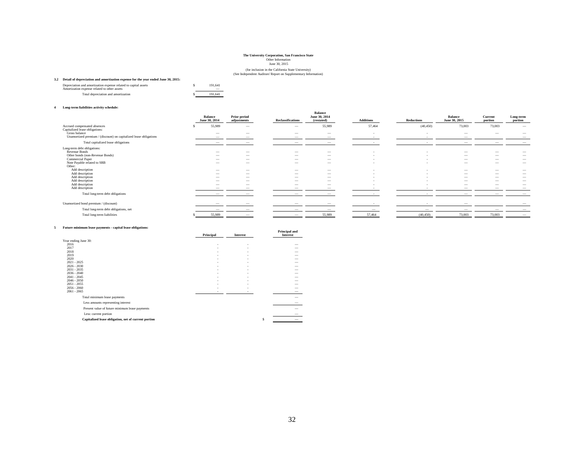#### **The University Corporation, San Francisco State** Other Information June 30, 2015 (for inclusion in the California State University) (See Independent Auditors' Report on Supplementary Information)

#### **3.2 Detail of depreciation and amortization expense for the year ended June 30, 2015:**

| Depreciation and amortization expense related to capital assets<br>Amortization expense related to other assets | 191.641 |  |
|-----------------------------------------------------------------------------------------------------------------|---------|--|
| Total depreciation and amortization                                                                             | 191.641 |  |

#### **4 Long-term liabilities activity schedule:**

|                                                                                    | <b>Balance</b><br>June 30, 2014               | <b>Prior period</b><br>adjustments                   | <b>Reclassifications</b>                             | Balance<br>June 30, 2014<br>(restated) | <b>Additions</b>         | <b>Reductions</b> | <b>Balance</b><br>June 30, 2015              | Current<br>portion                                          | Long-term<br>portion                                 |
|------------------------------------------------------------------------------------|-----------------------------------------------|------------------------------------------------------|------------------------------------------------------|----------------------------------------|--------------------------|-------------------|----------------------------------------------|-------------------------------------------------------------|------------------------------------------------------|
| Accrued compensated absences                                                       | 55,989                                        | $\hspace{0.05cm}$                                    |                                                      | 55,989                                 | 57,464                   | (40, 450)         | 73,003                                       | 73,003                                                      | $\overline{\phantom{a}}$                             |
| Capitalized lease obligations:                                                     |                                               |                                                      |                                                      |                                        |                          |                   |                                              |                                                             |                                                      |
| Gross balance<br>Unamortized premium / (discount) on capitalized lease obligations | $\hspace{0.05cm}$                             | $\hspace{0.05cm}$                                    | $\hspace{0.05cm}$                                    | $\overline{\phantom{a}}$               | $\sim$                   | $\sim$            | $\overline{\phantom{a}}$                     | $\hspace{0.1mm}-\hspace{0.1mm}$                             |                                                      |
|                                                                                    |                                               | $\overline{\phantom{0}}$                             |                                                      | $\overline{\phantom{a}}$               |                          |                   | $\overline{\phantom{a}}$                     |                                                             |                                                      |
| Total capitalized lease obligations                                                |                                               |                                                      | $\overline{\phantom{0}}$                             | $\overline{\phantom{0}}$               |                          |                   | $\overline{\phantom{a}}$                     |                                                             |                                                      |
| Long-term debt obligations:                                                        |                                               |                                                      |                                                      |                                        |                          |                   |                                              |                                                             |                                                      |
| Revenue Bonds                                                                      | $\hspace{0.05cm}$                             | $\overline{\phantom{0}}$                             | -                                                    |                                        |                          |                   |                                              | $\overline{\phantom{a}}$                                    |                                                      |
| Other bonds (non-Revenue Bonds)                                                    |                                               | $\overline{\phantom{0}}$                             |                                                      | $\overline{\phantom{a}}$               |                          |                   | $\hspace{0.05cm}$                            | $\overline{\phantom{a}}$                                    |                                                      |
| Commercial Paper                                                                   | -                                             |                                                      | -                                                    | -                                      |                          |                   | $\sim$                                       | $\overline{\phantom{a}}$                                    |                                                      |
| Note Payable related to SRB                                                        | $\overline{\phantom{a}}$                      | $\overline{\phantom{a}}$                             | -                                                    | $\overline{\phantom{a}}$               |                          |                   | $\overline{\phantom{a}}$                     | $\overline{\phantom{a}}$                                    |                                                      |
| Other:                                                                             |                                               |                                                      |                                                      |                                        |                          |                   |                                              |                                                             |                                                      |
| Add description                                                                    | $\overline{\phantom{a}}$                      | $\overline{\phantom{a}}$                             | -                                                    | $\overline{\phantom{a}}$               |                          |                   | $\overline{\phantom{a}}$                     | $\overline{\phantom{a}}$                                    |                                                      |
| Add description<br>Add description                                                 | -                                             | $\overline{\phantom{a}}$                             | -                                                    | $\overline{\phantom{a}}$               |                          |                   | $\sim$                                       | $\overline{\phantom{a}}$                                    |                                                      |
| Add description                                                                    | $\overline{\phantom{a}}$                      | $\overline{\phantom{a}}$                             | -                                                    | $\overline{\phantom{a}}$               |                          | . .               | -                                            | $\overline{\phantom{a}}$<br>$\hspace{0.1mm}-\hspace{0.1mm}$ | $\overline{\phantom{a}}$                             |
| Add description                                                                    | $\overline{\phantom{a}}$<br>$\hspace{0.05cm}$ | $\overline{\phantom{a}}$<br>$\overline{\phantom{0}}$ | $\overline{\phantom{a}}$<br>$\overline{\phantom{a}}$ | $\hspace{0.1mm}-\hspace{0.1mm}$        |                          |                   | $\overline{\phantom{a}}$<br>$\hspace{0.1mm}$ | $\sim$                                                      | $\overline{\phantom{a}}$<br>$\overline{\phantom{a}}$ |
| Add description                                                                    | $\overline{\phantom{a}}$                      | $\overline{\phantom{0}}$                             | $\overline{\phantom{a}}$                             | $\overline{\phantom{a}}$               |                          |                   | $\overline{\phantom{a}}$                     | $\overline{\phantom{a}}$                                    |                                                      |
|                                                                                    |                                               |                                                      |                                                      |                                        |                          |                   |                                              |                                                             |                                                      |
| Total long-term debt obligations                                                   | $\overline{\phantom{a}}$                      | $\hspace{0.1mm}-\hspace{0.1mm}$                      | $\overline{\phantom{0}}$                             | $\qquad \qquad$                        |                          |                   | $\overline{\phantom{a}}$                     |                                                             |                                                      |
| Unamortized bond premium / (discount)                                              | $\overline{\phantom{a}}$                      | -                                                    | -                                                    | $\overline{\phantom{a}}$               |                          | . .               | $\overline{\phantom{a}}$                     |                                                             |                                                      |
|                                                                                    |                                               |                                                      |                                                      |                                        |                          |                   |                                              |                                                             |                                                      |
| Total long-term debt obligations, net                                              | $\overline{\phantom{a}}$                      | $\overline{\phantom{a}}$                             | $\overline{\phantom{a}}$                             | $\overline{\phantom{a}}$               | $\overline{\phantom{a}}$ |                   | $\hspace{0.1mm}-\hspace{0.1mm}$              | $\hspace{0.1mm}-\hspace{0.1mm}$                             | $\overline{\phantom{a}}$                             |
| Total long-term liabilities                                                        | 55,989                                        | -                                                    | $\overline{\phantom{a}}$                             | 55,989                                 | 57,464                   | (40, 450)         | 73,003                                       | 73,003                                                      |                                                      |
|                                                                                    |                                               |                                                      |                                                      |                                        |                          |                   |                                              |                                                             |                                                      |

**Principal and**

#### **5 Future minimum lease payments - capital lease obligations:**

|                                                      | Principal                | <b>Interest</b>                                      | <b>Interest</b> |
|------------------------------------------------------|--------------------------|------------------------------------------------------|-----------------|
| Year ending June 30:                                 |                          |                                                      |                 |
| 2016                                                 | $\overline{\phantom{a}}$ | $\overline{\phantom{a}}$                             |                 |
| 2017                                                 |                          | $\overline{\phantom{a}}$                             |                 |
| 2018                                                 | $\overline{\phantom{a}}$ | $\overline{\phantom{a}}$                             |                 |
| 2019<br>2020                                         | $\overline{\phantom{a}}$ | $\overline{\phantom{a}}$<br>$\overline{\phantom{a}}$ |                 |
| $2021 - 2025$                                        | $\overline{\phantom{a}}$ | $\overline{\phantom{a}}$                             |                 |
| $2026 - 2030$                                        |                          | $\overline{\phantom{a}}$                             |                 |
| $2031 - 2035$                                        | $\overline{\phantom{a}}$ | $\overline{\phantom{a}}$                             |                 |
| $2036 - 2040$                                        |                          | $\overline{\phantom{a}}$                             |                 |
| $2041 - 2045$                                        | $\overline{\phantom{a}}$ | $\overline{\phantom{a}}$                             |                 |
| $2046 - 2050$                                        |                          | $\overline{\phantom{a}}$                             |                 |
| $2051 - 2055$<br>$2056 - 2060$                       | $\overline{\phantom{a}}$ | $\overline{\phantom{a}}$<br>$\overline{\phantom{a}}$ |                 |
| $2061 - 2065$                                        |                          |                                                      |                 |
|                                                      |                          |                                                      |                 |
| Total minimum lease payments                         |                          |                                                      |                 |
| Less amounts representing interest                   |                          |                                                      |                 |
| Present value of future minimum lease payments       |                          |                                                      |                 |
| Less: current portion                                |                          |                                                      |                 |
| Capitalized lease obligation, net of current portion |                          |                                                      | \$              |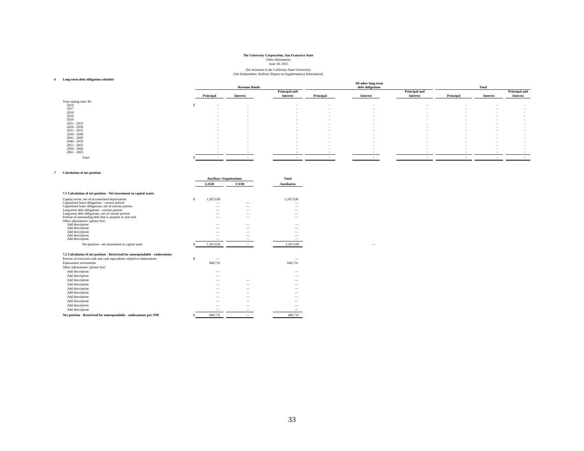#### **The University Corporation, San Francisco State** Other Information<br>June 30, 2015

### (for inclusion in the California State University) (See Independent Auditors' Report on Supplementary Information)

#### **6 Long-term debt obligation schedule**

| Long-term debt obligation schedule |                          |                      |                 |                          |                                         |                      |                          |                 |                          |
|------------------------------------|--------------------------|----------------------|-----------------|--------------------------|-----------------------------------------|----------------------|--------------------------|-----------------|--------------------------|
|                                    |                          | <b>Revenue Bonds</b> |                 |                          | All other long-term<br>debt obligations |                      |                          | Total           |                          |
|                                    |                          |                      | Principal and   |                          |                                         | <b>Principal and</b> |                          |                 | <b>Principal and</b>     |
|                                    | Principal                | <b>Interest</b>      | <b>Interest</b> | Principal                | Interest                                | Interest             | Principal                | <b>Interest</b> | <b>Interest</b>          |
| Year ending June 30:               |                          |                      |                 |                          |                                         |                      |                          |                 |                          |
| 2016                               | $\sim$                   | $\sim$               | $\sim$          | $\sim$                   | . .                                     | . .                  |                          |                 | $\sim$                   |
| 2017                               | $\overline{\phantom{a}}$ |                      | $\sim$          | $\overline{\phantom{a}}$ | . .                                     |                      |                          |                 |                          |
| 2018                               | $\overline{\phantom{a}}$ | $\sim$               | $\sim$          | $\sim$                   | . .                                     |                      |                          |                 | $\sim$                   |
| 2019                               | $\sim$                   | $\sim$               | $\sim$          | $\sim$                   | . .                                     |                      | $\overline{\phantom{a}}$ |                 | $\sim$                   |
| 2020                               | $\overline{\phantom{a}}$ | $\sim$               |                 | $\sim$                   | . .                                     |                      |                          |                 | $\sim$                   |
| $2021 - 2025$                      | $\sim$                   | $\sim$               | $\sim$          | $\sim$                   | . .                                     |                      |                          |                 | $\sim$                   |
| $2026 - 2030$                      | $\sim$                   | $\sim$               |                 | $\sim$                   |                                         | . .                  | $\overline{\phantom{a}}$ |                 | $\sim$                   |
| $2031 - 2035$                      | $\sim$                   | $\sim$               | $\sim$          | $\overline{\phantom{a}}$ |                                         |                      |                          |                 | $\sim$                   |
| $2036 - 2040$                      | $\sim$                   | $\sim$               | $\sim$          | $\sim$                   |                                         | . .                  | $\overline{\phantom{a}}$ | $\sim$          | $\sim$                   |
| $2041 - 2045$                      | $\sim$                   | $\sim$               | $\sim$          | $\sim$                   | . .                                     | . .                  | $\overline{\phantom{a}}$ |                 | $\sim$                   |
| $2046 - 2050$                      | $\sim$                   | $\sim$               | $\sim$          | $\overline{\phantom{a}}$ | . .                                     |                      |                          |                 | $\overline{\phantom{a}}$ |
| $2051 - 2055$                      | $\sim$                   | $\sim$               | $\sim$          | $\sim$                   | . .                                     |                      | $\overline{\phantom{a}}$ |                 | $\sim$                   |
| $2056 - 2060$                      | $\sim$                   | $\sim$               | $\sim$          | $\sim$                   | . .                                     | . .                  | $\overline{\phantom{a}}$ |                 | $\sim$                   |
| $2061 - 2065$                      | $\sim$                   |                      |                 | $\sim$                   |                                         |                      | $\overline{\phantom{a}}$ |                 |                          |
| Total                              | $\overline{\phantom{a}}$ | $\sim$               | $\sim$          | $\sim$                   |                                         | $\sim$               | $\sim$                   | $\sim$          |                          |
|                                    |                          |                      |                 |                          |                                         |                      |                          |                 |                          |

#### **7 Calculation of net position**

|                                                                                                               |     | <b>Auxiliary Organizations</b> |             |                    | Total |
|---------------------------------------------------------------------------------------------------------------|-----|--------------------------------|-------------|--------------------|-------|
|                                                                                                               |     | <b>GASB</b>                    | <b>FASB</b> | <b>Auxiliaries</b> |       |
|                                                                                                               |     |                                |             |                    |       |
| 7.1 Calculation of net position - Net investment in capital assets                                            |     |                                |             |                    |       |
| Capital assets, net of accumulated depreciation                                                               | \$. | 1.267.630                      |             | 1.267.630          |       |
| Capitalized lease obligations - current portion                                                               |     |                                |             |                    |       |
| Capitalized lease obligations, net of current portion                                                         |     |                                |             |                    |       |
| Long-term debt obligations - current portion                                                                  |     |                                |             |                    |       |
| Long-term debt obligations, net of current portion<br>Portion of outstanding debt that is unspent at year-end |     |                                |             |                    |       |
| Other adjustments: (please list)                                                                              |     |                                |             |                    |       |
| Add description                                                                                               |     |                                |             |                    |       |
| Add description                                                                                               |     |                                |             |                    |       |
| Add description                                                                                               |     |                                |             |                    |       |
| Add description                                                                                               |     |                                |             |                    |       |
| Add description                                                                                               |     |                                |             |                    |       |
| Net position - net investment in capital asset                                                                | s   | 1,267,630                      |             | 1,267,630          |       |
|                                                                                                               |     |                                |             |                    |       |
| 7.2 Calculation of net position - Restricted for nonexpendable - endowments                                   |     |                                |             |                    |       |
| Portion of restricted cash and cash equivalents related to endowments                                         | \$  |                                |             |                    |       |
| Endowment investments                                                                                         |     | 600,731                        |             | 600.731            |       |
| Other adjustments: (please list)                                                                              |     |                                |             |                    |       |
| Add description                                                                                               |     |                                |             |                    |       |
| Add description                                                                                               |     |                                |             |                    |       |
| Add description                                                                                               |     |                                |             |                    |       |
| Add description                                                                                               |     |                                |             |                    |       |
| Add description                                                                                               |     |                                |             |                    |       |
| Add description                                                                                               |     |                                |             |                    |       |
| Add description                                                                                               |     |                                |             |                    |       |
| Add description                                                                                               |     |                                |             |                    |       |
| Add description                                                                                               |     |                                |             |                    |       |
| Add description                                                                                               |     |                                |             |                    |       |
| Net position - Restricted for nonexpendable - endowments per SNP                                              |     | 600.731                        |             | 600,731            |       |
|                                                                                                               |     |                                |             |                    |       |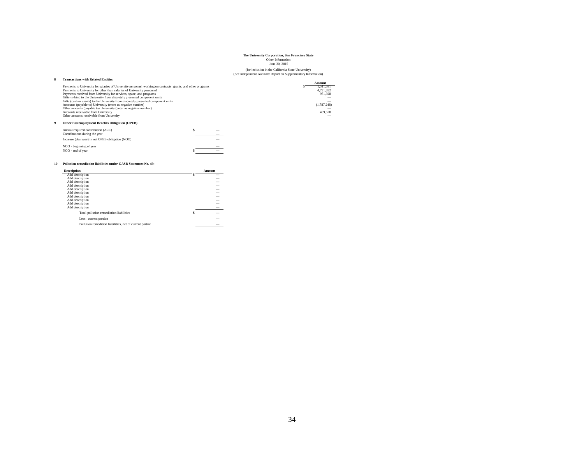#### **The University Corporation, San Francisco State**

Other Information<br>June 30, 2015

## (for inclusion in the California State University) (See Independent Auditors' Report on Supplementary Information)

| <b>Transactions with Related Entities</b>                                                                                                                                                                                                                                                                                                                                                                                                                                                                                                                                                                                                              |   |  |                                                                       |
|--------------------------------------------------------------------------------------------------------------------------------------------------------------------------------------------------------------------------------------------------------------------------------------------------------------------------------------------------------------------------------------------------------------------------------------------------------------------------------------------------------------------------------------------------------------------------------------------------------------------------------------------------------|---|--|-----------------------------------------------------------------------|
| Payments to University for salaries of University personnel working on contracts, grants, and other programs<br>Payments to University for other than salaries of University personnel<br>Payments received from University for services, space, and programs<br>Gifts-in-kind to the University from discretely presented component units<br>Gifts (cash or assets) to the University from discretely presented component units<br>Accounts (payable to) University (enter as negative number)<br>Other amounts (payable to) University (enter as negative number)<br>Accounts receivable from University<br>Other amounts receivable from University |   |  | Amount<br>1.511.581<br>4,731,352<br>971.928<br>(1,787,248)<br>459.528 |
| <b>Other Postemployment Benefits Obligation (OPEB)</b>                                                                                                                                                                                                                                                                                                                                                                                                                                                                                                                                                                                                 |   |  |                                                                       |
| Annual required contribution (ARC)<br>Contributions during the year                                                                                                                                                                                                                                                                                                                                                                                                                                                                                                                                                                                    | Ś |  |                                                                       |
| Increase (decrease) in net OPEB obligation (NOO)                                                                                                                                                                                                                                                                                                                                                                                                                                                                                                                                                                                                       |   |  |                                                                       |
| NOO - beginning of year                                                                                                                                                                                                                                                                                                                                                                                                                                                                                                                                                                                                                                |   |  |                                                                       |
| NOO - end of year                                                                                                                                                                                                                                                                                                                                                                                                                                                                                                                                                                                                                                      |   |  |                                                                       |

#### **10 Pollution remediation liabilities under GASB Statement No. 49:**

| <b>Description</b>                                       | Amount |
|----------------------------------------------------------|--------|
| Add description                                          |        |
| Add description                                          | -      |
| Add description                                          |        |
| Add description                                          | -      |
| Add description                                          | -      |
| Add description                                          |        |
| Add description                                          | --     |
| Add description                                          |        |
| Add description                                          |        |
| Add description                                          | _      |
| Total pollution remediation liabilities                  | -      |
| Less: current portion                                    | _      |
| Pollution remedition liabilities, net of current portion | -      |